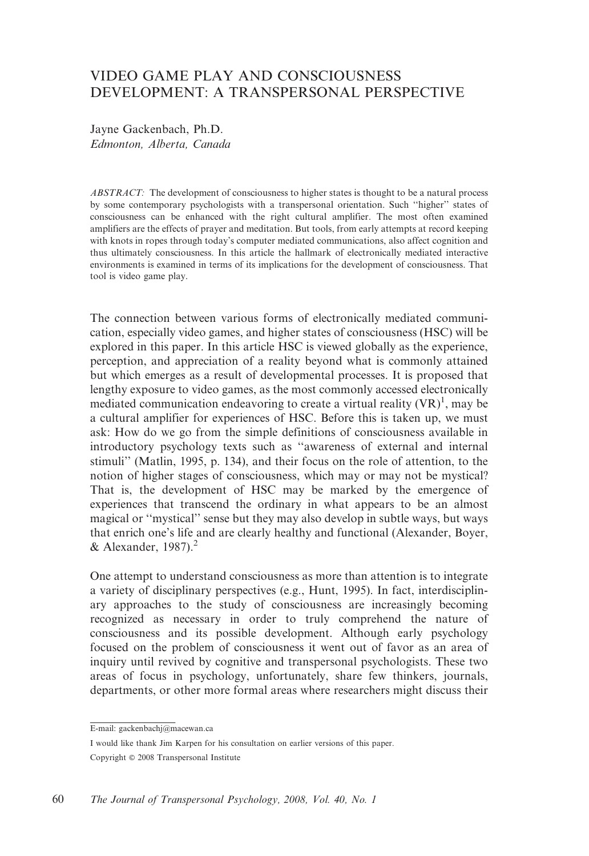# VIDEO GAME PLAY AND CONSCIOUSNESS DEVELOPMENT: A TRANSPERSONAL PERSPECTIVE

Jayne Gackenbach, Ph.D. Edmonton, Alberta, Canada

ABSTRACT: The development of consciousness to higher states is thought to be a natural process by some contemporary psychologists with a transpersonal orientation. Such ''higher'' states of consciousness can be enhanced with the right cultural amplifier. The most often examined amplifiers are the effects of prayer and meditation. But tools, from early attempts at record keeping with knots in ropes through today's computer mediated communications, also affect cognition and thus ultimately consciousness. In this article the hallmark of electronically mediated interactive environments is examined in terms of its implications for the development of consciousness. That tool is video game play.

The connection between various forms of electronically mediated communication, especially video games, and higher states of consciousness (HSC) will be explored in this paper. In this article HSC is viewed globally as the experience, perception, and appreciation of a reality beyond what is commonly attained but which emerges as a result of developmental processes. It is proposed that lengthy exposure to video games, as the most commonly accessed electronically mediated communication endeavoring to create a virtual reality  $(VR)^1$ , may be a cultural amplifier for experiences of HSC. Before this is taken up, we must ask: How do we go from the simple definitions of consciousness available in introductory psychology texts such as ''awareness of external and internal stimuli'' (Matlin, 1995, p. 134), and their focus on the role of attention, to the notion of higher stages of consciousness, which may or may not be mystical? That is, the development of HSC may be marked by the emergence of experiences that transcend the ordinary in what appears to be an almost magical or ''mystical'' sense but they may also develop in subtle ways, but ways that enrich one's life and are clearly healthy and functional (Alexander, Boyer, & Alexander,  $1987$ ).<sup>2</sup>

One attempt to understand consciousness as more than attention is to integrate a variety of disciplinary perspectives (e.g., Hunt, 1995). In fact, interdisciplinary approaches to the study of consciousness are increasingly becoming recognized as necessary in order to truly comprehend the nature of consciousness and its possible development. Although early psychology focused on the problem of consciousness it went out of favor as an area of inquiry until revived by cognitive and transpersonal psychologists. These two areas of focus in psychology, unfortunately, share few thinkers, journals, departments, or other more formal areas where researchers might discuss their

E-mail: gackenbachj@macewan.ca

I would like thank Jim Karpen for his consultation on earlier versions of this paper. Copyright  $@$  2008 Transpersonal Institute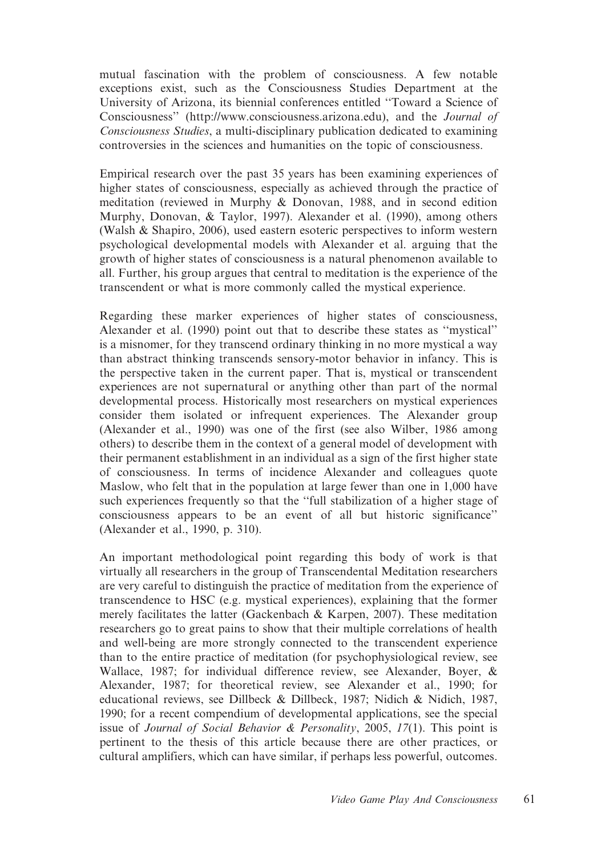mutual fascination with the problem of consciousness. A few notable exceptions exist, such as the Consciousness Studies Department at the University of Arizona, its biennial conferences entitled ''Toward a Science of Consciousness'' (http://www.consciousness.arizona.edu), and the Journal of Consciousness Studies, a multi-disciplinary publication dedicated to examining controversies in the sciences and humanities on the topic of consciousness.

Empirical research over the past 35 years has been examining experiences of higher states of consciousness, especially as achieved through the practice of meditation (reviewed in Murphy & Donovan, 1988, and in second edition Murphy, Donovan, & Taylor, 1997). Alexander et al. (1990), among others (Walsh & Shapiro, 2006), used eastern esoteric perspectives to inform western psychological developmental models with Alexander et al. arguing that the growth of higher states of consciousness is a natural phenomenon available to all. Further, his group argues that central to meditation is the experience of the transcendent or what is more commonly called the mystical experience.

Regarding these marker experiences of higher states of consciousness, Alexander et al. (1990) point out that to describe these states as ''mystical'' is a misnomer, for they transcend ordinary thinking in no more mystical a way than abstract thinking transcends sensory-motor behavior in infancy. This is the perspective taken in the current paper. That is, mystical or transcendent experiences are not supernatural or anything other than part of the normal developmental process. Historically most researchers on mystical experiences consider them isolated or infrequent experiences. The Alexander group (Alexander et al., 1990) was one of the first (see also Wilber, 1986 among others) to describe them in the context of a general model of development with their permanent establishment in an individual as a sign of the first higher state of consciousness. In terms of incidence Alexander and colleagues quote Maslow, who felt that in the population at large fewer than one in 1,000 have such experiences frequently so that the ''full stabilization of a higher stage of consciousness appears to be an event of all but historic significance'' (Alexander et al., 1990, p. 310).

An important methodological point regarding this body of work is that virtually all researchers in the group of Transcendental Meditation researchers are very careful to distinguish the practice of meditation from the experience of transcendence to HSC (e.g. mystical experiences), explaining that the former merely facilitates the latter (Gackenbach & Karpen, 2007). These meditation researchers go to great pains to show that their multiple correlations of health and well-being are more strongly connected to the transcendent experience than to the entire practice of meditation (for psychophysiological review, see Wallace, 1987; for individual difference review, see Alexander, Boyer, & Alexander, 1987; for theoretical review, see Alexander et al., 1990; for educational reviews, see Dillbeck & Dillbeck, 1987; Nidich & Nidich, 1987, 1990; for a recent compendium of developmental applications, see the special issue of *Journal of Social Behavior & Personality*, 2005,  $17(1)$ . This point is pertinent to the thesis of this article because there are other practices, or cultural amplifiers, which can have similar, if perhaps less powerful, outcomes.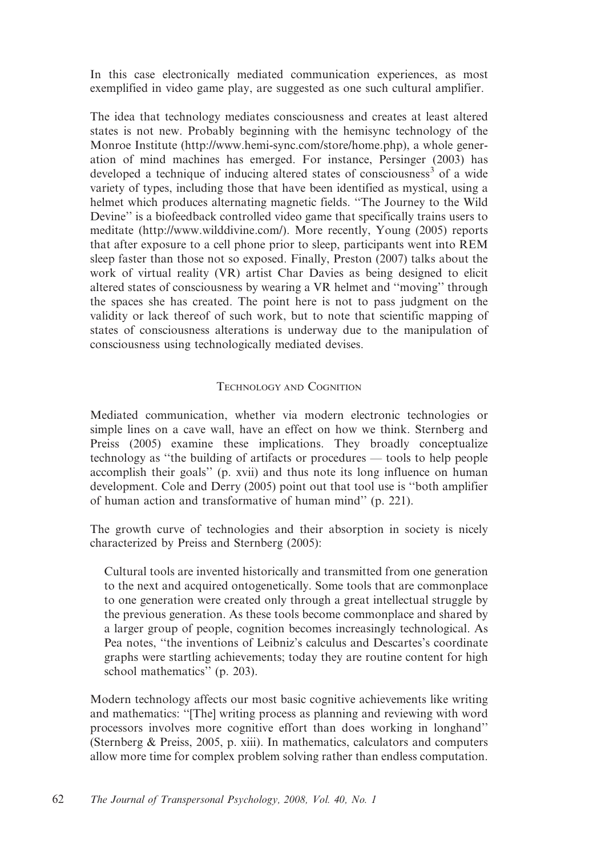In this case electronically mediated communication experiences, as most exemplified in video game play, are suggested as one such cultural amplifier.

The idea that technology mediates consciousness and creates at least altered states is not new. Probably beginning with the hemisync technology of the Monroe Institute (http://www.hemi-sync.com/store/home.php), a whole generation of mind machines has emerged. For instance, Persinger (2003) has developed a technique of inducing altered states of consciousness<sup>3</sup> of a wide variety of types, including those that have been identified as mystical, using a helmet which produces alternating magnetic fields. ''The Journey to the Wild Devine'' is a biofeedback controlled video game that specifically trains users to meditate (http://www.wilddivine.com/). More recently, Young (2005) reports that after exposure to a cell phone prior to sleep, participants went into REM sleep faster than those not so exposed. Finally, Preston (2007) talks about the work of virtual reality (VR) artist Char Davies as being designed to elicit altered states of consciousness by wearing a VR helmet and ''moving'' through the spaces she has created. The point here is not to pass judgment on the validity or lack thereof of such work, but to note that scientific mapping of states of consciousness alterations is underway due to the manipulation of consciousness using technologically mediated devises.

## TECHNOLOGY AND COGNITION

Mediated communication, whether via modern electronic technologies or simple lines on a cave wall, have an effect on how we think. Sternberg and Preiss (2005) examine these implications. They broadly conceptualize technology as ''the building of artifacts or procedures — tools to help people accomplish their goals'' (p. xvii) and thus note its long influence on human development. Cole and Derry (2005) point out that tool use is ''both amplifier of human action and transformative of human mind'' (p. 221).

The growth curve of technologies and their absorption in society is nicely characterized by Preiss and Sternberg (2005):

Cultural tools are invented historically and transmitted from one generation to the next and acquired ontogenetically. Some tools that are commonplace to one generation were created only through a great intellectual struggle by the previous generation. As these tools become commonplace and shared by a larger group of people, cognition becomes increasingly technological. As Pea notes, ''the inventions of Leibniz's calculus and Descartes's coordinate graphs were startling achievements; today they are routine content for high school mathematics'' (p. 203).

Modern technology affects our most basic cognitive achievements like writing and mathematics: ''[The] writing process as planning and reviewing with word processors involves more cognitive effort than does working in longhand'' (Sternberg & Preiss, 2005, p. xiii). In mathematics, calculators and computers allow more time for complex problem solving rather than endless computation.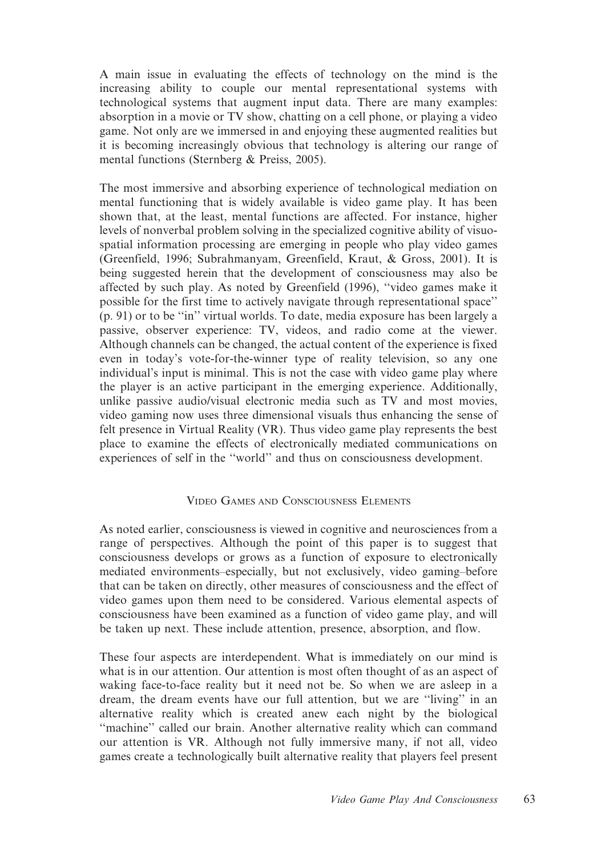A main issue in evaluating the effects of technology on the mind is the increasing ability to couple our mental representational systems with technological systems that augment input data. There are many examples: absorption in a movie or TV show, chatting on a cell phone, or playing a video game. Not only are we immersed in and enjoying these augmented realities but it is becoming increasingly obvious that technology is altering our range of mental functions (Sternberg & Preiss, 2005).

The most immersive and absorbing experience of technological mediation on mental functioning that is widely available is video game play. It has been shown that, at the least, mental functions are affected. For instance, higher levels of nonverbal problem solving in the specialized cognitive ability of visuospatial information processing are emerging in people who play video games (Greenfield, 1996; Subrahmanyam, Greenfield, Kraut, & Gross, 2001). It is being suggested herein that the development of consciousness may also be affected by such play. As noted by Greenfield (1996), ''video games make it possible for the first time to actively navigate through representational space'' (p. 91) or to be ''in'' virtual worlds. To date, media exposure has been largely a passive, observer experience: TV, videos, and radio come at the viewer. Although channels can be changed, the actual content of the experience is fixed even in today's vote-for-the-winner type of reality television, so any one individual's input is minimal. This is not the case with video game play where the player is an active participant in the emerging experience. Additionally, unlike passive audio/visual electronic media such as TV and most movies, video gaming now uses three dimensional visuals thus enhancing the sense of felt presence in Virtual Reality (VR). Thus video game play represents the best place to examine the effects of electronically mediated communications on experiences of self in the ''world'' and thus on consciousness development.

# VIDEO GAMES AND CONSCIOUSNESS ELEMENTS

As noted earlier, consciousness is viewed in cognitive and neurosciences from a range of perspectives. Although the point of this paper is to suggest that consciousness develops or grows as a function of exposure to electronically mediated environments–especially, but not exclusively, video gaming–before that can be taken on directly, other measures of consciousness and the effect of video games upon them need to be considered. Various elemental aspects of consciousness have been examined as a function of video game play, and will be taken up next. These include attention, presence, absorption, and flow.

These four aspects are interdependent. What is immediately on our mind is what is in our attention. Our attention is most often thought of as an aspect of waking face-to-face reality but it need not be. So when we are asleep in a dream, the dream events have our full attention, but we are ''living'' in an alternative reality which is created anew each night by the biological "machine" called our brain. Another alternative reality which can command our attention is VR. Although not fully immersive many, if not all, video games create a technologically built alternative reality that players feel present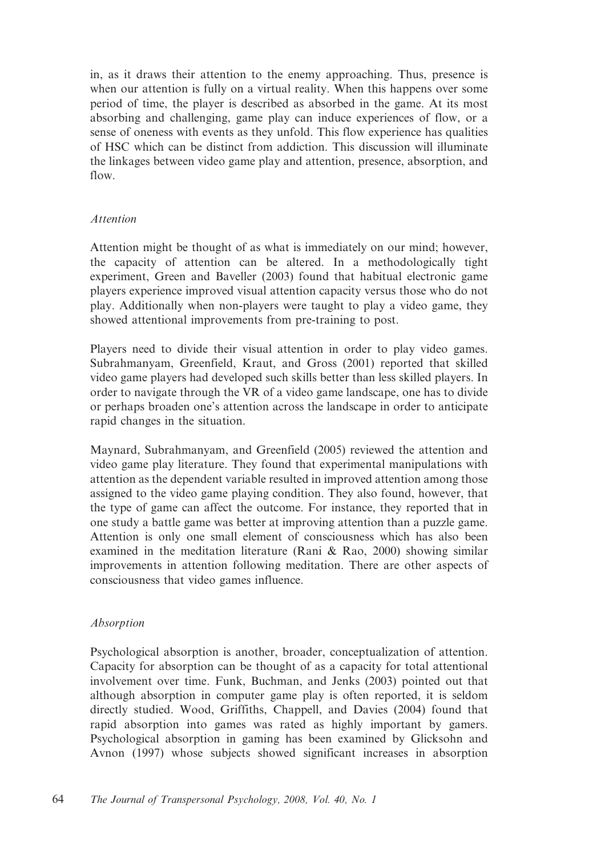in, as it draws their attention to the enemy approaching. Thus, presence is when our attention is fully on a virtual reality. When this happens over some period of time, the player is described as absorbed in the game. At its most absorbing and challenging, game play can induce experiences of flow, or a sense of oneness with events as they unfold. This flow experience has qualities of HSC which can be distinct from addiction. This discussion will illuminate the linkages between video game play and attention, presence, absorption, and flow.

## Attention

Attention might be thought of as what is immediately on our mind; however, the capacity of attention can be altered. In a methodologically tight experiment, Green and Baveller (2003) found that habitual electronic game players experience improved visual attention capacity versus those who do not play. Additionally when non-players were taught to play a video game, they showed attentional improvements from pre-training to post.

Players need to divide their visual attention in order to play video games. Subrahmanyam, Greenfield, Kraut, and Gross (2001) reported that skilled video game players had developed such skills better than less skilled players. In order to navigate through the VR of a video game landscape, one has to divide or perhaps broaden one's attention across the landscape in order to anticipate rapid changes in the situation.

Maynard, Subrahmanyam, and Greenfield (2005) reviewed the attention and video game play literature. They found that experimental manipulations with attention as the dependent variable resulted in improved attention among those assigned to the video game playing condition. They also found, however, that the type of game can affect the outcome. For instance, they reported that in one study a battle game was better at improving attention than a puzzle game. Attention is only one small element of consciousness which has also been examined in the meditation literature (Rani  $\&$  Rao, 2000) showing similar improvements in attention following meditation. There are other aspects of consciousness that video games influence.

### Absorption

Psychological absorption is another, broader, conceptualization of attention. Capacity for absorption can be thought of as a capacity for total attentional involvement over time. Funk, Buchman, and Jenks (2003) pointed out that although absorption in computer game play is often reported, it is seldom directly studied. Wood, Griffiths, Chappell, and Davies (2004) found that rapid absorption into games was rated as highly important by gamers. Psychological absorption in gaming has been examined by Glicksohn and Avnon (1997) whose subjects showed significant increases in absorption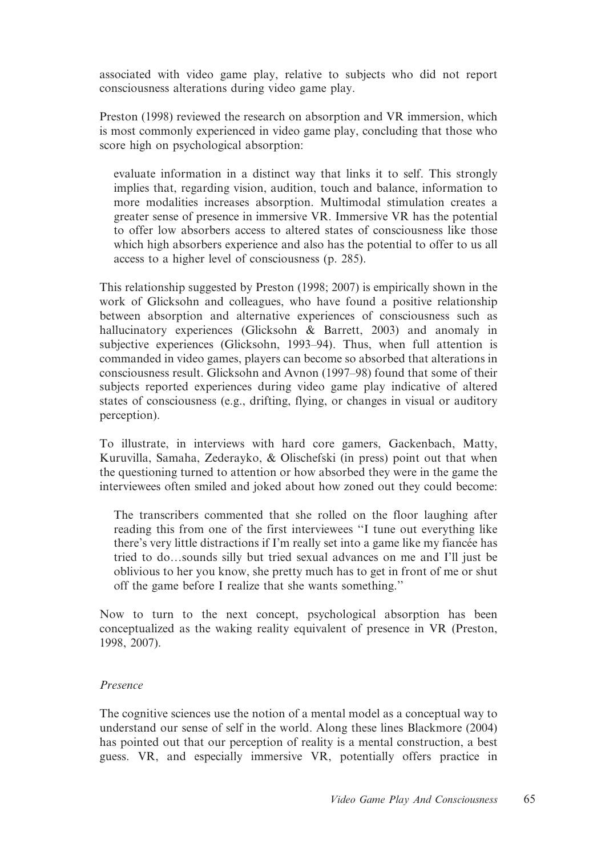associated with video game play, relative to subjects who did not report consciousness alterations during video game play.

Preston (1998) reviewed the research on absorption and VR immersion, which is most commonly experienced in video game play, concluding that those who score high on psychological absorption:

evaluate information in a distinct way that links it to self. This strongly implies that, regarding vision, audition, touch and balance, information to more modalities increases absorption. Multimodal stimulation creates a greater sense of presence in immersive VR. Immersive VR has the potential to offer low absorbers access to altered states of consciousness like those which high absorbers experience and also has the potential to offer to us all access to a higher level of consciousness (p. 285).

This relationship suggested by Preston (1998; 2007) is empirically shown in the work of Glicksohn and colleagues, who have found a positive relationship between absorption and alternative experiences of consciousness such as hallucinatory experiences (Glicksohn & Barrett, 2003) and anomaly in subjective experiences (Glicksohn, 1993–94). Thus, when full attention is commanded in video games, players can become so absorbed that alterations in consciousness result. Glicksohn and Avnon (1997–98) found that some of their subjects reported experiences during video game play indicative of altered states of consciousness (e.g., drifting, flying, or changes in visual or auditory perception).

To illustrate, in interviews with hard core gamers, Gackenbach, Matty, Kuruvilla, Samaha, Zederayko, & Olischefski (in press) point out that when the questioning turned to attention or how absorbed they were in the game the interviewees often smiled and joked about how zoned out they could become:

The transcribers commented that she rolled on the floor laughing after reading this from one of the first interviewees ''I tune out everything like there's very little distractions if I'm really set into a game like my fiancée has tried to do…sounds silly but tried sexual advances on me and I'll just be oblivious to her you know, she pretty much has to get in front of me or shut off the game before I realize that she wants something.''

Now to turn to the next concept, psychological absorption has been conceptualized as the waking reality equivalent of presence in VR (Preston, 1998, 2007).

### Presence

The cognitive sciences use the notion of a mental model as a conceptual way to understand our sense of self in the world. Along these lines Blackmore (2004) has pointed out that our perception of reality is a mental construction, a best guess. VR, and especially immersive VR, potentially offers practice in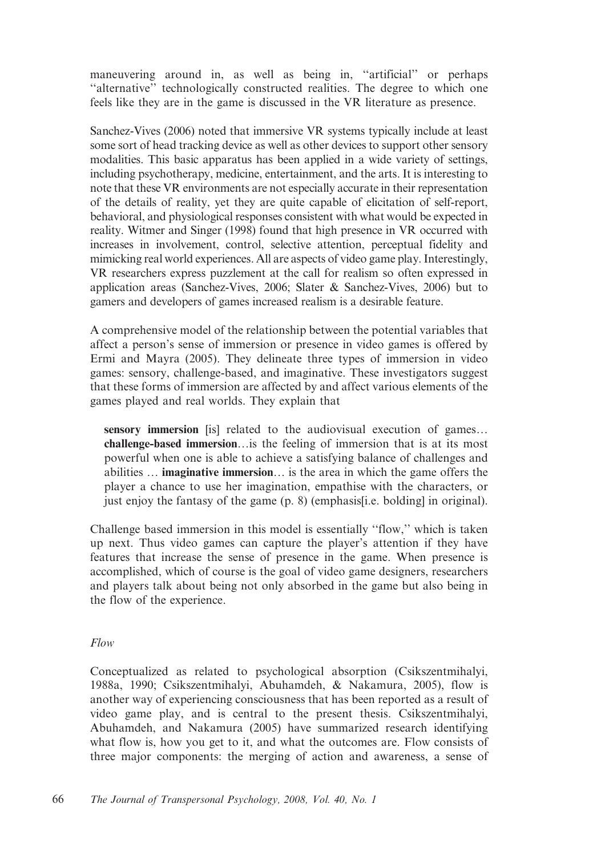maneuvering around in, as well as being in, ''artificial'' or perhaps "alternative" technologically constructed realities. The degree to which one feels like they are in the game is discussed in the VR literature as presence.

Sanchez-Vives (2006) noted that immersive VR systems typically include at least some sort of head tracking device as well as other devices to support other sensory modalities. This basic apparatus has been applied in a wide variety of settings, including psychotherapy, medicine, entertainment, and the arts. It is interesting to note that these VR environments are not especially accurate in their representation of the details of reality, yet they are quite capable of elicitation of self-report, behavioral, and physiological responses consistent with what would be expected in reality. Witmer and Singer (1998) found that high presence in VR occurred with increases in involvement, control, selective attention, perceptual fidelity and mimicking real world experiences. All are aspects of video game play. Interestingly, VR researchers express puzzlement at the call for realism so often expressed in application areas (Sanchez-Vives, 2006; Slater & Sanchez-Vives, 2006) but to gamers and developers of games increased realism is a desirable feature.

A comprehensive model of the relationship between the potential variables that affect a person's sense of immersion or presence in video games is offered by Ermi and Mayra (2005). They delineate three types of immersion in video games: sensory, challenge-based, and imaginative. These investigators suggest that these forms of immersion are affected by and affect various elements of the games played and real worlds. They explain that

sensory immersion [is] related to the audiovisual execution of games... challenge-based immersion…is the feeling of immersion that is at its most powerful when one is able to achieve a satisfying balance of challenges and abilities … imaginative immersion… is the area in which the game offers the player a chance to use her imagination, empathise with the characters, or just enjoy the fantasy of the game (p. 8) (emphasis[i.e. bolding] in original).

Challenge based immersion in this model is essentially ''flow,'' which is taken up next. Thus video games can capture the player's attention if they have features that increase the sense of presence in the game. When presence is accomplished, which of course is the goal of video game designers, researchers and players talk about being not only absorbed in the game but also being in the flow of the experience.

### Flow

Conceptualized as related to psychological absorption (Csikszentmihalyi, 1988a, 1990; Csikszentmihalyi, Abuhamdeh, & Nakamura, 2005), flow is another way of experiencing consciousness that has been reported as a result of video game play, and is central to the present thesis. Csikszentmihalyi, Abuhamdeh, and Nakamura (2005) have summarized research identifying what flow is, how you get to it, and what the outcomes are. Flow consists of three major components: the merging of action and awareness, a sense of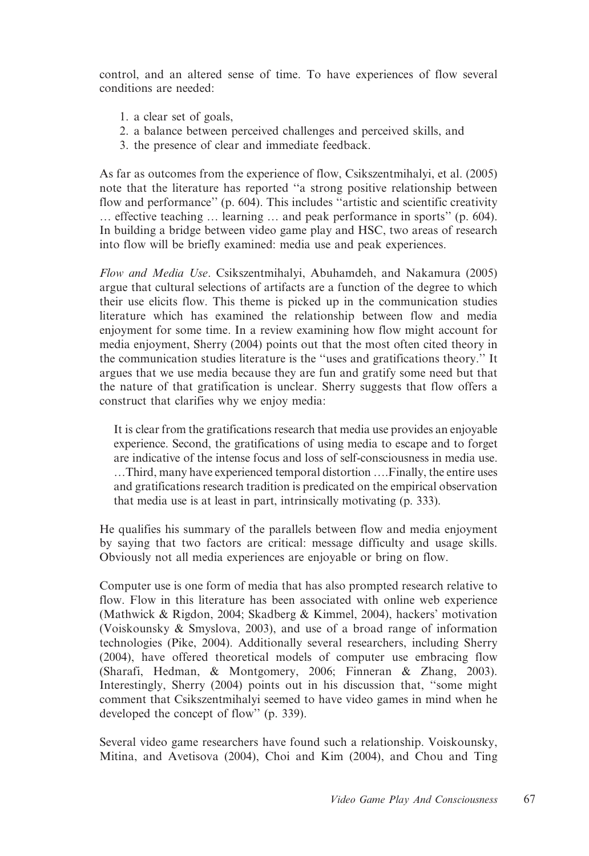control, and an altered sense of time. To have experiences of flow several conditions are needed:

- 1. a clear set of goals,
- 2. a balance between perceived challenges and perceived skills, and
- 3. the presence of clear and immediate feedback.

As far as outcomes from the experience of flow, Csikszentmihalyi, et al. (2005) note that the literature has reported ''a strong positive relationship between flow and performance'' (p. 604). This includes ''artistic and scientific creativity … effective teaching … learning … and peak performance in sports'' (p. 604). In building a bridge between video game play and HSC, two areas of research into flow will be briefly examined: media use and peak experiences.

Flow and Media Use. Csikszentmihalyi, Abuhamdeh, and Nakamura (2005) argue that cultural selections of artifacts are a function of the degree to which their use elicits flow. This theme is picked up in the communication studies literature which has examined the relationship between flow and media enjoyment for some time. In a review examining how flow might account for media enjoyment, Sherry (2004) points out that the most often cited theory in the communication studies literature is the ''uses and gratifications theory.'' It argues that we use media because they are fun and gratify some need but that the nature of that gratification is unclear. Sherry suggests that flow offers a construct that clarifies why we enjoy media:

It is clear from the gratifications research that media use provides an enjoyable experience. Second, the gratifications of using media to escape and to forget are indicative of the intense focus and loss of self-consciousness in media use. …Third, many have experienced temporal distortion ….Finally, the entire uses and gratifications research tradition is predicated on the empirical observation that media use is at least in part, intrinsically motivating (p. 333).

He qualifies his summary of the parallels between flow and media enjoyment by saying that two factors are critical: message difficulty and usage skills. Obviously not all media experiences are enjoyable or bring on flow.

Computer use is one form of media that has also prompted research relative to flow. Flow in this literature has been associated with online web experience (Mathwick & Rigdon, 2004; Skadberg & Kimmel, 2004), hackers' motivation (Voiskounsky & Smyslova, 2003), and use of a broad range of information technologies (Pike, 2004). Additionally several researchers, including Sherry (2004), have offered theoretical models of computer use embracing flow (Sharafi, Hedman, & Montgomery, 2006; Finneran & Zhang, 2003). Interestingly, Sherry (2004) points out in his discussion that, ''some might comment that Csikszentmihalyi seemed to have video games in mind when he developed the concept of flow'' (p. 339).

Several video game researchers have found such a relationship. Voiskounsky, Mitina, and Avetisova (2004), Choi and Kim (2004), and Chou and Ting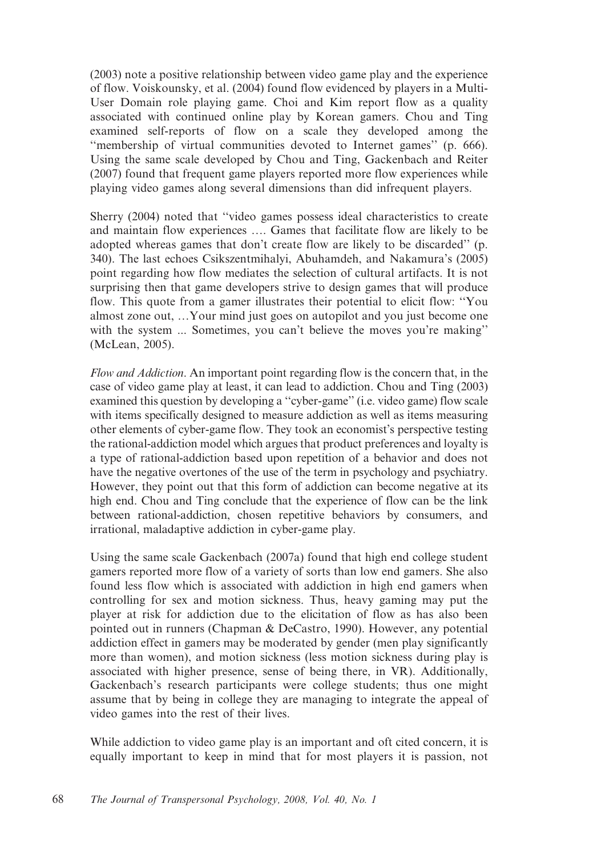(2003) note a positive relationship between video game play and the experience of flow. Voiskounsky, et al. (2004) found flow evidenced by players in a Multi-User Domain role playing game. Choi and Kim report flow as a quality associated with continued online play by Korean gamers. Chou and Ting examined self-reports of flow on a scale they developed among the ''membership of virtual communities devoted to Internet games'' (p. 666). Using the same scale developed by Chou and Ting, Gackenbach and Reiter (2007) found that frequent game players reported more flow experiences while playing video games along several dimensions than did infrequent players.

Sherry (2004) noted that ''video games possess ideal characteristics to create and maintain flow experiences …. Games that facilitate flow are likely to be adopted whereas games that don't create flow are likely to be discarded'' (p. 340). The last echoes Csikszentmihalyi, Abuhamdeh, and Nakamura's (2005) point regarding how flow mediates the selection of cultural artifacts. It is not surprising then that game developers strive to design games that will produce flow. This quote from a gamer illustrates their potential to elicit flow: ''You almost zone out, …Your mind just goes on autopilot and you just become one with the system ... Sometimes, you can't believe the moves you're making" (McLean, 2005).

Flow and Addiction. An important point regarding flow is the concern that, in the case of video game play at least, it can lead to addiction. Chou and Ting (2003) examined this question by developing a ''cyber-game'' (i.e. video game) flow scale with items specifically designed to measure addiction as well as items measuring other elements of cyber-game flow. They took an economist's perspective testing the rational-addiction model which argues that product preferences and loyalty is a type of rational-addiction based upon repetition of a behavior and does not have the negative overtones of the use of the term in psychology and psychiatry. However, they point out that this form of addiction can become negative at its high end. Chou and Ting conclude that the experience of flow can be the link between rational-addiction, chosen repetitive behaviors by consumers, and irrational, maladaptive addiction in cyber-game play.

Using the same scale Gackenbach (2007a) found that high end college student gamers reported more flow of a variety of sorts than low end gamers. She also found less flow which is associated with addiction in high end gamers when controlling for sex and motion sickness. Thus, heavy gaming may put the player at risk for addiction due to the elicitation of flow as has also been pointed out in runners (Chapman & DeCastro, 1990). However, any potential addiction effect in gamers may be moderated by gender (men play significantly more than women), and motion sickness (less motion sickness during play is associated with higher presence, sense of being there, in VR). Additionally, Gackenbach's research participants were college students; thus one might assume that by being in college they are managing to integrate the appeal of video games into the rest of their lives.

While addiction to video game play is an important and oft cited concern, it is equally important to keep in mind that for most players it is passion, not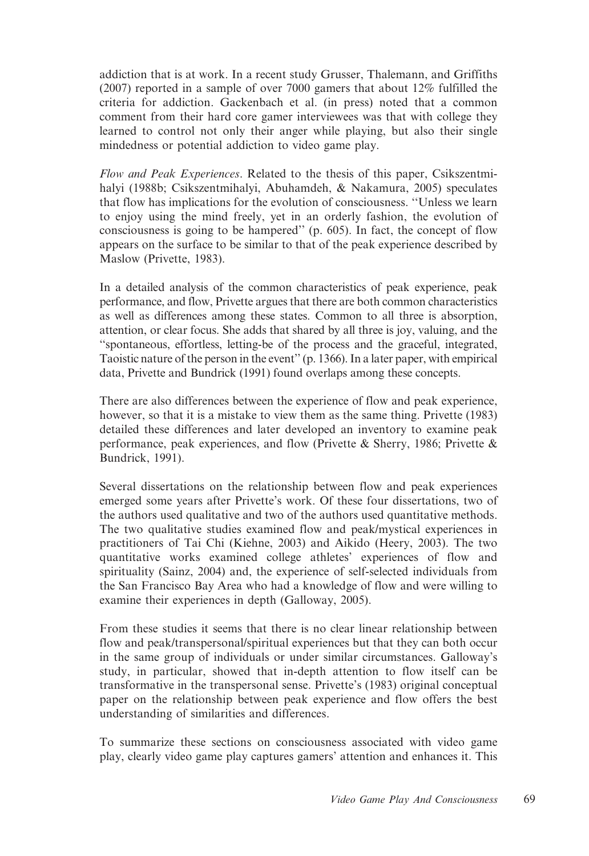addiction that is at work. In a recent study Grusser, Thalemann, and Griffiths (2007) reported in a sample of over 7000 gamers that about 12% fulfilled the criteria for addiction. Gackenbach et al. (in press) noted that a common comment from their hard core gamer interviewees was that with college they learned to control not only their anger while playing, but also their single mindedness or potential addiction to video game play.

Flow and Peak Experiences. Related to the thesis of this paper, Csikszentmihalyi (1988b; Csikszentmihalyi, Abuhamdeh, & Nakamura, 2005) speculates that flow has implications for the evolution of consciousness. ''Unless we learn to enjoy using the mind freely, yet in an orderly fashion, the evolution of consciousness is going to be hampered'' (p. 605). In fact, the concept of flow appears on the surface to be similar to that of the peak experience described by Maslow (Privette, 1983).

In a detailed analysis of the common characteristics of peak experience, peak performance, and flow, Privette argues that there are both common characteristics as well as differences among these states. Common to all three is absorption, attention, or clear focus. She adds that shared by all three is joy, valuing, and the ''spontaneous, effortless, letting-be of the process and the graceful, integrated, Taoistic nature of the person in the event'' (p. 1366). In a later paper, with empirical data, Privette and Bundrick (1991) found overlaps among these concepts.

There are also differences between the experience of flow and peak experience, however, so that it is a mistake to view them as the same thing. Privette (1983) detailed these differences and later developed an inventory to examine peak performance, peak experiences, and flow (Privette & Sherry, 1986; Privette & Bundrick, 1991).

Several dissertations on the relationship between flow and peak experiences emerged some years after Privette's work. Of these four dissertations, two of the authors used qualitative and two of the authors used quantitative methods. The two qualitative studies examined flow and peak/mystical experiences in practitioners of Tai Chi (Kiehne, 2003) and Aikido (Heery, 2003). The two quantitative works examined college athletes' experiences of flow and spirituality (Sainz, 2004) and, the experience of self-selected individuals from the San Francisco Bay Area who had a knowledge of flow and were willing to examine their experiences in depth (Galloway, 2005).

From these studies it seems that there is no clear linear relationship between flow and peak/transpersonal/spiritual experiences but that they can both occur in the same group of individuals or under similar circumstances. Galloway's study, in particular, showed that in-depth attention to flow itself can be transformative in the transpersonal sense. Privette's (1983) original conceptual paper on the relationship between peak experience and flow offers the best understanding of similarities and differences.

To summarize these sections on consciousness associated with video game play, clearly video game play captures gamers' attention and enhances it. This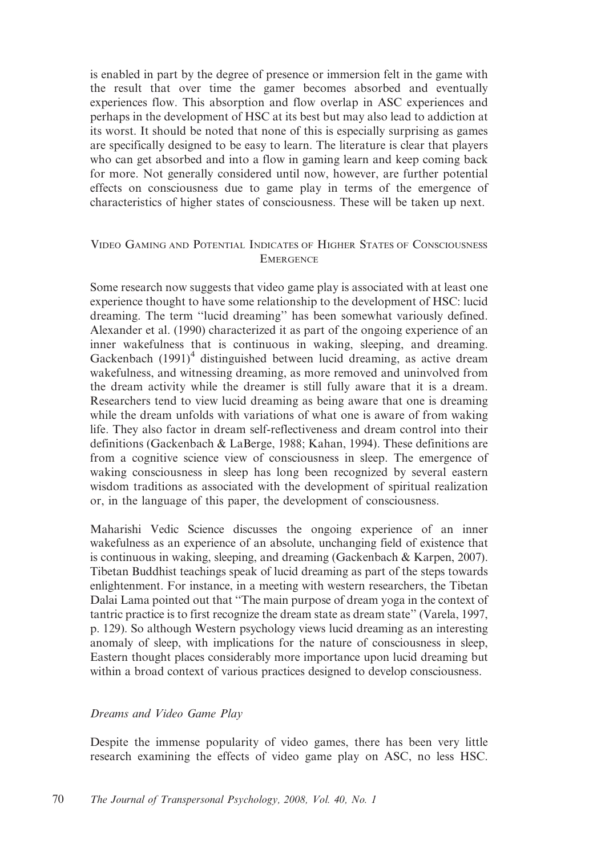is enabled in part by the degree of presence or immersion felt in the game with the result that over time the gamer becomes absorbed and eventually experiences flow. This absorption and flow overlap in ASC experiences and perhaps in the development of HSC at its best but may also lead to addiction at its worst. It should be noted that none of this is especially surprising as games are specifically designed to be easy to learn. The literature is clear that players who can get absorbed and into a flow in gaming learn and keep coming back for more. Not generally considered until now, however, are further potential effects on consciousness due to game play in terms of the emergence of characteristics of higher states of consciousness. These will be taken up next.

## VIDEO GAMING AND POTENTIAL INDICATES OF HIGHER STATES OF CONSCIOUSNESS **EMERGENCE**

Some research now suggests that video game play is associated with at least one experience thought to have some relationship to the development of HSC: lucid dreaming. The term ''lucid dreaming'' has been somewhat variously defined. Alexander et al. (1990) characterized it as part of the ongoing experience of an inner wakefulness that is continuous in waking, sleeping, and dreaming. Gackenbach  $(1991)^4$  distinguished between lucid dreaming, as active dream wakefulness, and witnessing dreaming, as more removed and uninvolved from the dream activity while the dreamer is still fully aware that it is a dream. Researchers tend to view lucid dreaming as being aware that one is dreaming while the dream unfolds with variations of what one is aware of from waking life. They also factor in dream self-reflectiveness and dream control into their definitions (Gackenbach & LaBerge, 1988; Kahan, 1994). These definitions are from a cognitive science view of consciousness in sleep. The emergence of waking consciousness in sleep has long been recognized by several eastern wisdom traditions as associated with the development of spiritual realization or, in the language of this paper, the development of consciousness.

Maharishi Vedic Science discusses the ongoing experience of an inner wakefulness as an experience of an absolute, unchanging field of existence that is continuous in waking, sleeping, and dreaming (Gackenbach & Karpen, 2007). Tibetan Buddhist teachings speak of lucid dreaming as part of the steps towards enlightenment. For instance, in a meeting with western researchers, the Tibetan Dalai Lama pointed out that ''The main purpose of dream yoga in the context of tantric practice is to first recognize the dream state as dream state'' (Varela, 1997, p. 129). So although Western psychology views lucid dreaming as an interesting anomaly of sleep, with implications for the nature of consciousness in sleep, Eastern thought places considerably more importance upon lucid dreaming but within a broad context of various practices designed to develop consciousness.

### Dreams and Video Game Play

Despite the immense popularity of video games, there has been very little research examining the effects of video game play on ASC, no less HSC.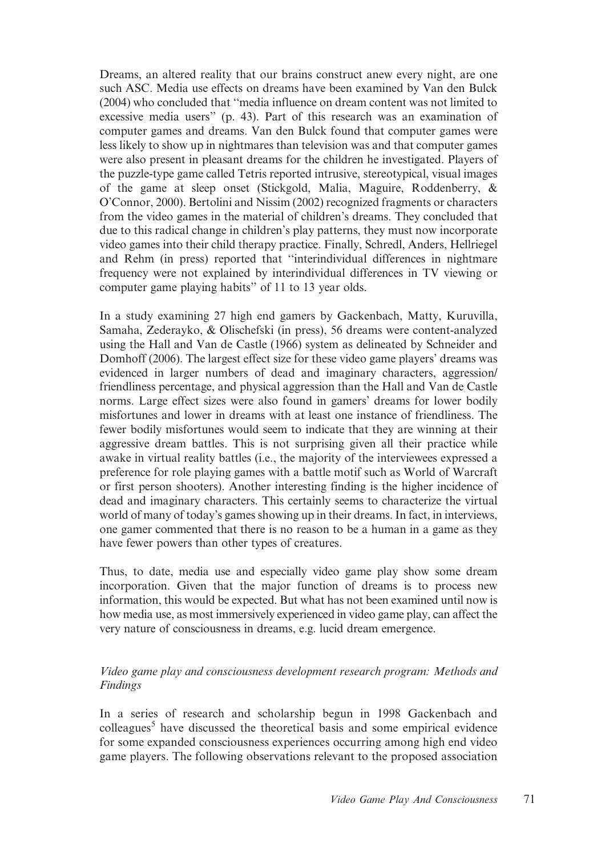Dreams, an altered reality that our brains construct anew every night, are one such ASC. Media use effects on dreams have been examined by Van den Bulck (2004) who concluded that ''media influence on dream content was not limited to excessive media users'' (p. 43). Part of this research was an examination of computer games and dreams. Van den Bulck found that computer games were less likely to show up in nightmares than television was and that computer games were also present in pleasant dreams for the children he investigated. Players of the puzzle-type game called Tetris reported intrusive, stereotypical, visual images of the game at sleep onset (Stickgold, Malia, Maguire, Roddenberry, & O'Connor, 2000). Bertolini and Nissim (2002) recognized fragments or characters from the video games in the material of children's dreams. They concluded that due to this radical change in children's play patterns, they must now incorporate video games into their child therapy practice. Finally, Schredl, Anders, Hellriegel and Rehm (in press) reported that ''interindividual differences in nightmare frequency were not explained by interindividual differences in TV viewing or computer game playing habits'' of 11 to 13 year olds.

In a study examining 27 high end gamers by Gackenbach, Matty, Kuruvilla, Samaha, Zederayko, & Olischefski (in press), 56 dreams were content-analyzed using the Hall and Van de Castle (1966) system as delineated by Schneider and Domhoff (2006). The largest effect size for these video game players' dreams was evidenced in larger numbers of dead and imaginary characters, aggression/ friendliness percentage, and physical aggression than the Hall and Van de Castle norms. Large effect sizes were also found in gamers' dreams for lower bodily misfortunes and lower in dreams with at least one instance of friendliness. The fewer bodily misfortunes would seem to indicate that they are winning at their aggressive dream battles. This is not surprising given all their practice while awake in virtual reality battles (i.e., the majority of the interviewees expressed a preference for role playing games with a battle motif such as World of Warcraft or first person shooters). Another interesting finding is the higher incidence of dead and imaginary characters. This certainly seems to characterize the virtual world of many of today's games showing up in their dreams. In fact, in interviews, one gamer commented that there is no reason to be a human in a game as they have fewer powers than other types of creatures.

Thus, to date, media use and especially video game play show some dream incorporation. Given that the major function of dreams is to process new information, this would be expected. But what has not been examined until now is how media use, as most immersively experienced in video game play, can affect the very nature of consciousness in dreams, e.g. lucid dream emergence.

# Video game play and consciousness development research program: Methods and Findings

In a series of research and scholarship begun in 1998 Gackenbach and  $\text{colleagues}^5$  have discussed the theoretical basis and some empirical evidence for some expanded consciousness experiences occurring among high end video game players. The following observations relevant to the proposed association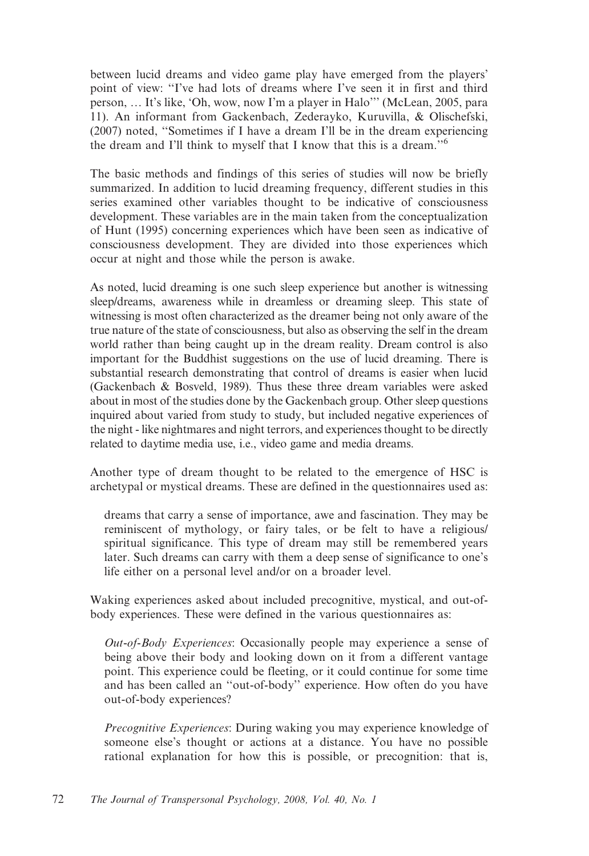between lucid dreams and video game play have emerged from the players' point of view: ''I've had lots of dreams where I've seen it in first and third person, … It's like, 'Oh, wow, now I'm a player in Halo''' (McLean, 2005, para 11). An informant from Gackenbach, Zederayko, Kuruvilla, & Olischefski, (2007) noted, ''Sometimes if I have a dream I'll be in the dream experiencing the dream and I'll think to myself that I know that this is a dream.''<sup>6</sup>

The basic methods and findings of this series of studies will now be briefly summarized. In addition to lucid dreaming frequency, different studies in this series examined other variables thought to be indicative of consciousness development. These variables are in the main taken from the conceptualization of Hunt (1995) concerning experiences which have been seen as indicative of consciousness development. They are divided into those experiences which occur at night and those while the person is awake.

As noted, lucid dreaming is one such sleep experience but another is witnessing sleep/dreams, awareness while in dreamless or dreaming sleep. This state of witnessing is most often characterized as the dreamer being not only aware of the true nature of the state of consciousness, but also as observing the self in the dream world rather than being caught up in the dream reality. Dream control is also important for the Buddhist suggestions on the use of lucid dreaming. There is substantial research demonstrating that control of dreams is easier when lucid (Gackenbach & Bosveld, 1989). Thus these three dream variables were asked about in most of the studies done by the Gackenbach group. Other sleep questions inquired about varied from study to study, but included negative experiences of the night - like nightmares and night terrors, and experiences thought to be directly related to daytime media use, i.e., video game and media dreams.

Another type of dream thought to be related to the emergence of HSC is archetypal or mystical dreams. These are defined in the questionnaires used as:

dreams that carry a sense of importance, awe and fascination. They may be reminiscent of mythology, or fairy tales, or be felt to have a religious/ spiritual significance. This type of dream may still be remembered years later. Such dreams can carry with them a deep sense of significance to one's life either on a personal level and/or on a broader level.

Waking experiences asked about included precognitive, mystical, and out-ofbody experiences. These were defined in the various questionnaires as:

Out-of-Body Experiences: Occasionally people may experience a sense of being above their body and looking down on it from a different vantage point. This experience could be fleeting, or it could continue for some time and has been called an ''out-of-body'' experience. How often do you have out-of-body experiences?

Precognitive Experiences: During waking you may experience knowledge of someone else's thought or actions at a distance. You have no possible rational explanation for how this is possible, or precognition: that is,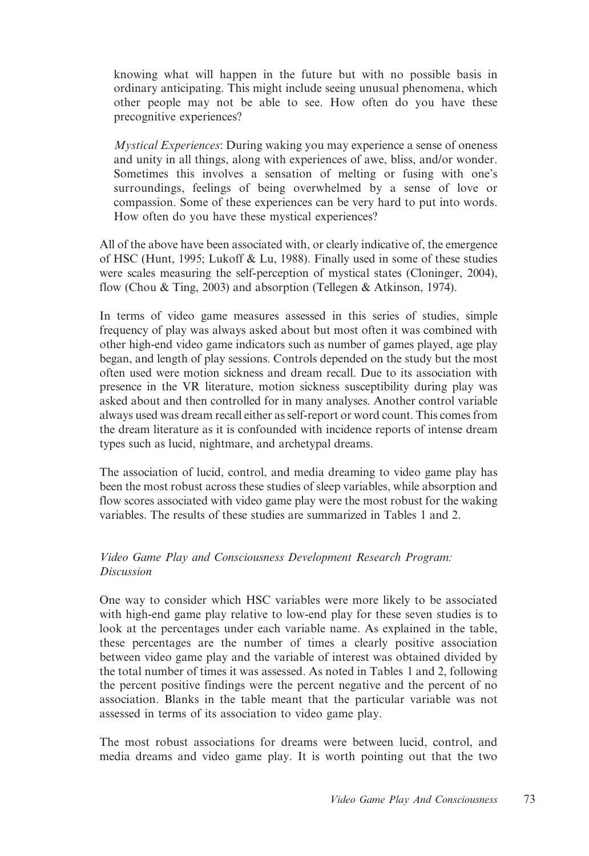knowing what will happen in the future but with no possible basis in ordinary anticipating. This might include seeing unusual phenomena, which other people may not be able to see. How often do you have these precognitive experiences?

Mystical Experiences: During waking you may experience a sense of oneness and unity in all things, along with experiences of awe, bliss, and/or wonder. Sometimes this involves a sensation of melting or fusing with one's surroundings, feelings of being overwhelmed by a sense of love or compassion. Some of these experiences can be very hard to put into words. How often do you have these mystical experiences?

All of the above have been associated with, or clearly indicative of, the emergence of HSC (Hunt, 1995; Lukoff & Lu, 1988). Finally used in some of these studies were scales measuring the self-perception of mystical states (Cloninger, 2004), flow (Chou & Ting, 2003) and absorption (Tellegen & Atkinson, 1974).

In terms of video game measures assessed in this series of studies, simple frequency of play was always asked about but most often it was combined with other high-end video game indicators such as number of games played, age play began, and length of play sessions. Controls depended on the study but the most often used were motion sickness and dream recall. Due to its association with presence in the VR literature, motion sickness susceptibility during play was asked about and then controlled for in many analyses. Another control variable always used was dream recall either as self-report or word count. This comes from the dream literature as it is confounded with incidence reports of intense dream types such as lucid, nightmare, and archetypal dreams.

The association of lucid, control, and media dreaming to video game play has been the most robust across these studies of sleep variables, while absorption and flow scores associated with video game play were the most robust for the waking variables. The results of these studies are summarized in Tables 1 and 2.

# Video Game Play and Consciousness Development Research Program: Discussion

One way to consider which HSC variables were more likely to be associated with high-end game play relative to low-end play for these seven studies is to look at the percentages under each variable name. As explained in the table, these percentages are the number of times a clearly positive association between video game play and the variable of interest was obtained divided by the total number of times it was assessed. As noted in Tables 1 and 2, following the percent positive findings were the percent negative and the percent of no association. Blanks in the table meant that the particular variable was not assessed in terms of its association to video game play.

The most robust associations for dreams were between lucid, control, and media dreams and video game play. It is worth pointing out that the two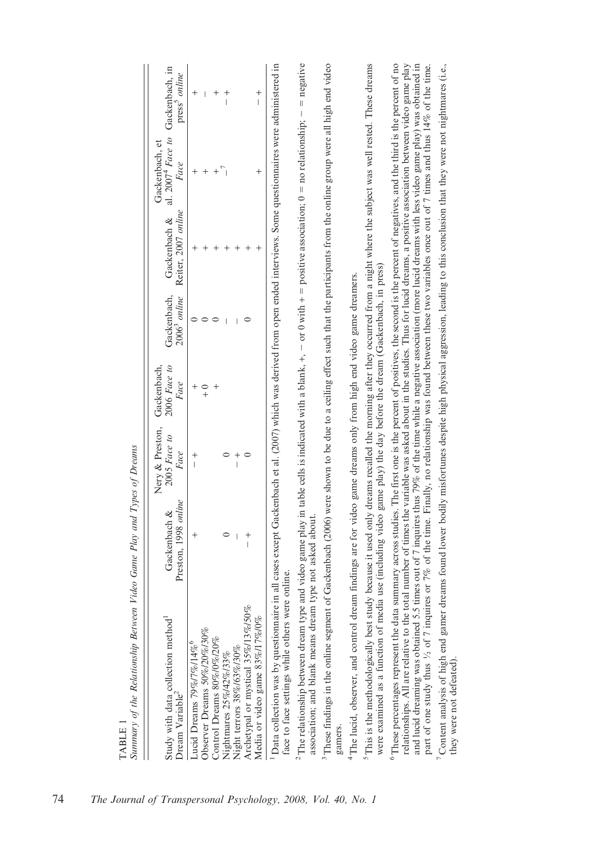| ominionally by the International Detrictor Process and Theory Detection                                                                                                                                                                                                                                                                                                                                                                                                                                                                                                                                                                                                                                                                       |                                      |                                         |                                     |                               |                                     |                                                                        |                                            |
|-----------------------------------------------------------------------------------------------------------------------------------------------------------------------------------------------------------------------------------------------------------------------------------------------------------------------------------------------------------------------------------------------------------------------------------------------------------------------------------------------------------------------------------------------------------------------------------------------------------------------------------------------------------------------------------------------------------------------------------------------|--------------------------------------|-----------------------------------------|-------------------------------------|-------------------------------|-------------------------------------|------------------------------------------------------------------------|--------------------------------------------|
| Study with data collection method<br>Dream Variable <sup>2</sup>                                                                                                                                                                                                                                                                                                                                                                                                                                                                                                                                                                                                                                                                              | Preston, 1998 online<br>Gackenbach & | Nery & Preston,<br>2005 Face to<br>Face | Gackenbach,<br>2006 Face to<br>Face | Gackenbach,<br>$20063$ online | Reiter, 2007 online<br>Gackenbach & | al. 2007 <sup>4</sup> Face to Gackenbach, in<br>Gackenbach, et<br>Face | press' online                              |
| Observer Dreams 50%/20%/30%<br>Control Dreams 80%/0%/20%<br>Lucid Dreams 79%/7%/14%                                                                                                                                                                                                                                                                                                                                                                                                                                                                                                                                                                                                                                                           | $^{+}$                               | $\frac{+}{1}$                           | $^{+}$<br>$-$                       |                               |                                     | $^{+}$<br>$^{+}$<br>$\,{}^{+}\,$                                       | $\overline{+}$<br>$^{+}$                   |
| Archetypal or mystical 35%/13%/50%<br>Media or video game 83%/17%/0%<br>Night terrors 38%/63%/30%<br>Nightmares 25%/42%/33%                                                                                                                                                                                                                                                                                                                                                                                                                                                                                                                                                                                                                   | $+$                                  | $^{+}$<br>$\overline{\phantom{a}}$      |                                     |                               |                                     | $^{+}$                                                                 | $^{+}$<br>$\overline{1}$<br>$\overline{1}$ |
| ' Data collection was by questionnaire in all casse except Gackenbach et al. (2007) which was derived from open ended interviews. Some questionnaires were administered in<br>face to face settings while others were online.                                                                                                                                                                                                                                                                                                                                                                                                                                                                                                                 |                                      |                                         |                                     |                               |                                     |                                                                        |                                            |
| ${}^{2}$ The relationship between dream type and video game play in table cells is indicated with a blank, +, - or 0 with + = positive association; 0 = no relationship; - = negative<br>association; and blank means dream type not asked about.                                                                                                                                                                                                                                                                                                                                                                                                                                                                                             |                                      |                                         |                                     |                               |                                     |                                                                        |                                            |
| <sup>3</sup> These findings in the online segment of Gackenbach (2006) were shown to be due to a ceiling effect such that the participants from the online group were all high end video<br>gamers.                                                                                                                                                                                                                                                                                                                                                                                                                                                                                                                                           |                                      |                                         |                                     |                               |                                     |                                                                        |                                            |
| <sup>4</sup> The lucid, observer, and control dream findings are for video game dreams only from high end video game dreamers.                                                                                                                                                                                                                                                                                                                                                                                                                                                                                                                                                                                                                |                                      |                                         |                                     |                               |                                     |                                                                        |                                            |
| <sup>5</sup> This is the methodologically best study because it used only dreams recalled the morning after they occurred from a night where the subject was well rested. These dreams<br>were examined as a function of media use (including video game play) the day before the dream (Gackenbach, in press)                                                                                                                                                                                                                                                                                                                                                                                                                                |                                      |                                         |                                     |                               |                                     |                                                                        |                                            |
| <sup>6</sup> These percentages represent the data summary across studies. The first one is the percent of positives, the second is the percent of negatives, and the third is the percent of no<br>relationships. All are relative to the total number of times the variable was asked about in the studies. Thus for lucid dreams, a positive association between video game play<br>and lucid dreaming was obtained 5.5 times out of 7 inquires thus 79% of the time while a negative association (more lucid dreams with less video game play) was obtained in<br>part of one study thus 1/2 of 7 inquires or 7% of the time. Finally, no relationship was found between these two variables once out of 7 times and thus 14% of the time. |                                      |                                         |                                     |                               |                                     |                                                                        |                                            |
| <sup>7</sup> Content analysis of high end gamer dreams found lower bodily misfortunes despite high physical aggression, leading to this conclusion that they were not nightmares (i.e.,<br>they were not defeated).                                                                                                                                                                                                                                                                                                                                                                                                                                                                                                                           |                                      |                                         |                                     |                               |                                     |                                                                        |                                            |

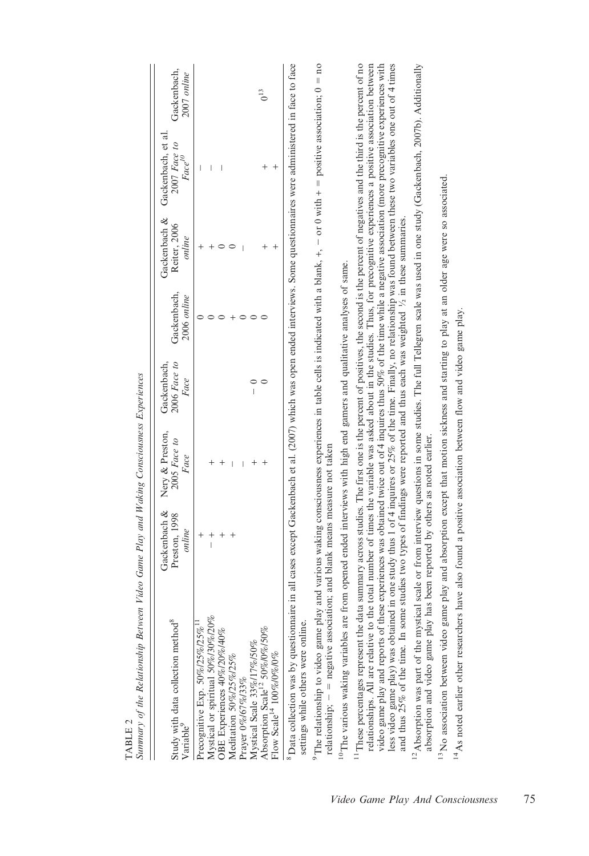| Summary of the Relationship Between Video Game Play and Waking Consciousness Experiences<br>TABLE <sub>2</sub>                                                                                                                                                                                                                                                                                                                                                                                                                                                                                                                                                                                                                                                                       |                                         |                                         |                                     |                            |                                        |                                                  |                            |
|--------------------------------------------------------------------------------------------------------------------------------------------------------------------------------------------------------------------------------------------------------------------------------------------------------------------------------------------------------------------------------------------------------------------------------------------------------------------------------------------------------------------------------------------------------------------------------------------------------------------------------------------------------------------------------------------------------------------------------------------------------------------------------------|-----------------------------------------|-----------------------------------------|-------------------------------------|----------------------------|----------------------------------------|--------------------------------------------------|----------------------------|
| Study with data collection method <sup>8</sup><br>Variable                                                                                                                                                                                                                                                                                                                                                                                                                                                                                                                                                                                                                                                                                                                           | Gackenbach &<br>Preston, 1998<br>online | Nery & Preston,<br>2005 Face to<br>Face | 2006 Face to<br>Gackenbach,<br>Face | Gackenbach,<br>2006 online | Gackenbach &<br>Reiter, 2006<br>online | Gackenbach, et al<br>2007 Face to<br>$Face^{10}$ | Gackenbach,<br>2007 online |
| Mystical or spiritual 50%/30%/20%<br>Precognitive Exp. 50%/25%/25% <sup>1</sup><br>Absorption Scale <sup>12</sup> 50%/0%/50%<br>OBE Experiences 40%/20%/40%<br>Mystical Scale 33%/17%/50%<br>Flow Scale <sup>14</sup> 100%/0%/0%<br>Meditation 50%/25%/25%<br>Prayer 0%/67%/33%                                                                                                                                                                                                                                                                                                                                                                                                                                                                                                      | $^{+}$<br>$^{+}$<br>$+$<br>$^{+}$       |                                         | $\overline{0}$                      | $\circ$                    | $\circ$                                | I                                                | $0^{13}$                   |
| <sup>8</sup> Data collection was by questionnaire in all cases except Gackenbach et al. (2007) which was open ended interviews. Some questionnaires were administered in face to face<br>The relationship to video game play and various waking consciousness experiences in table cells is indicated with a blank, $+$ , $-$ or 0 with $+$ = positive association; 0 = no<br>relationship; - = negative association; and blank means measure not taken<br>settings while others were online.                                                                                                                                                                                                                                                                                        |                                         |                                         |                                     |                            |                                        |                                                  |                            |
| <sup>10</sup> The various waking variables are from opened ended interviews with high end gamers and qualitative analyses of same.                                                                                                                                                                                                                                                                                                                                                                                                                                                                                                                                                                                                                                                   |                                         |                                         |                                     |                            |                                        |                                                  |                            |
| These percentages represent the data summary across studies. The first one is the percent of positives, the second is the percent of negatives and the third is the percent of no<br>less video game play) was obtained in one study thus 1 of 4 inquires or 25% of the time. Finally, no relationship was found between these two variables one out of 4 times<br>and thus 25% of the time. In some studies two types<br>relationships. All are relative to the total number of times the variable was asked about in the studies. Thus, for precognitive experiences a positive association between<br>video game play and reports of these experiences was obtained twice out of 4 inquires thus 50% of the time while a negative association (more precognitive experiences with |                                         |                                         |                                     |                            |                                        |                                                  |                            |
| <sup>12</sup> Absorption was part of the mystical scale or from interview questions in some studies. The full Tellegren scale was used in one study (Gackenbach, 2007b). Additionally<br>absorption and video game play has been reported by others as noted earlier.                                                                                                                                                                                                                                                                                                                                                                                                                                                                                                                |                                         |                                         |                                     |                            |                                        |                                                  |                            |
| <sup>13</sup> No association between video game play and absorption except that motion sickness and starting to play at an older age were so associated.                                                                                                                                                                                                                                                                                                                                                                                                                                                                                                                                                                                                                             |                                         |                                         |                                     |                            |                                        |                                                  |                            |

14As noted earlier other researchers have also found a positive association between flow and video game play.

<sup>14</sup> As noted earlier other researchers have also found a positive association between flow and video game play.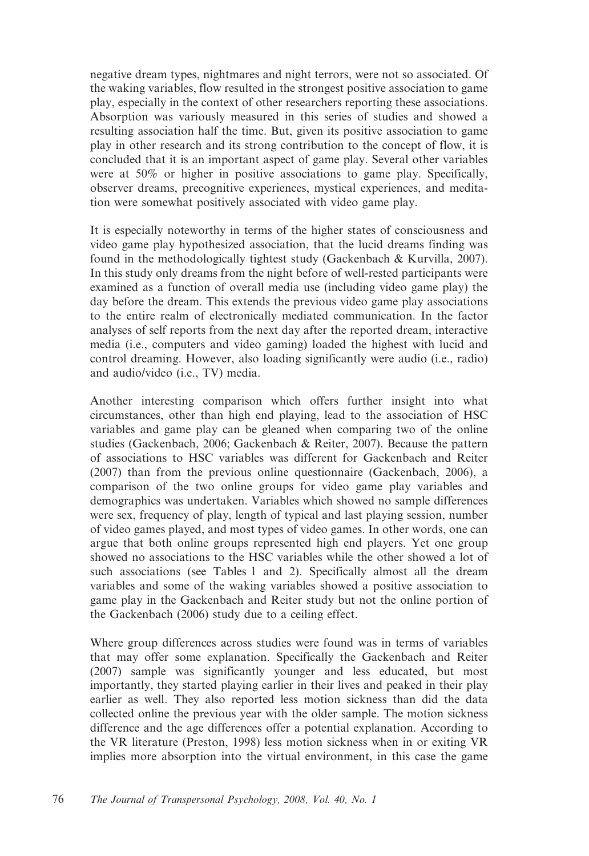negative dream types, nightmares and night terrors, were not so associated. Of the waking variables, flow resulted in the strongest positive association to game play, especially in the context of other researchers reporting these associations. Absorption was variously measured in this series of studies and showed a resulting association half the time. But, given its positive association to game play in other research and its strong contribution to the concept of flow, it is concluded that it is an important aspect of game play. Several other variables were at 50% or higher in positive associations to game play. Specifically, observer dreams, precognitive experiences, mystical experiences, and meditation were somewhat positively associated with video game play.

It is especially noteworthy in terms of the higher states of consciousness and video game play hypothesized association, that the lucid dreams finding was found in the methodologically tightest study (Gackenbach & Kurvilla, 2007). In this study only dreams from the night before of well-rested participants were examined as a function of overall media use (including video game play) the day before the dream. This extends the previous video game play associations to the entire realm of electronically mediated communication. In the factor analyses of self reports from the next day after the reported dream, interactive media (i.e., computers and video gaming) loaded the highest with lucid and control dreaming. However, also loading significantly were audio (i.e., radio) and audio/video (i.e., TV) media.

Another interesting comparison which offers further insight into what circumstances, other than high end playing, lead to the association of HSC variables and game play can be gleaned when comparing two of the online studies (Gackenbach, 2006; Gackenbach & Reiter, 2007). Because the pattern of associations to HSC variables was different for Gackenbach and Reiter (2007) than from the previous online questionnaire (Gackenbach, 2006), a comparison of the two online groups for video game play variables and demographics was undertaken. Variables which showed no sample differences were sex, frequency of play, length of typical and last playing session, number of video games played, and most types of video games. In other words, one can argue that both online groups represented high end players. Yet one group showed no associations to the HSC variables while the other showed a lot of such associations (see Tables 1 and 2). Specifically almost all the dream variables and some of the waking variables showed a positive association to game play in the Gackenbach and Reiter study but not the online portion of the Gackenbach (2006) study due to a ceiling effect.

Where group differences across studies were found was in terms of variables that may offer some explanation. Specifically the Gackenbach and Reiter (2007) sample was significantly younger and less educated, but most importantly, they started playing earlier in their lives and peaked in their play earlier as well. They also reported less motion sickness than did the data collected online the previous year with the older sample. The motion sickness difference and the age differences offer a potential explanation. According to the VR literature (Preston, 1998) less motion sickness when in or exiting VR implies more absorption into the virtual environment, in this case the game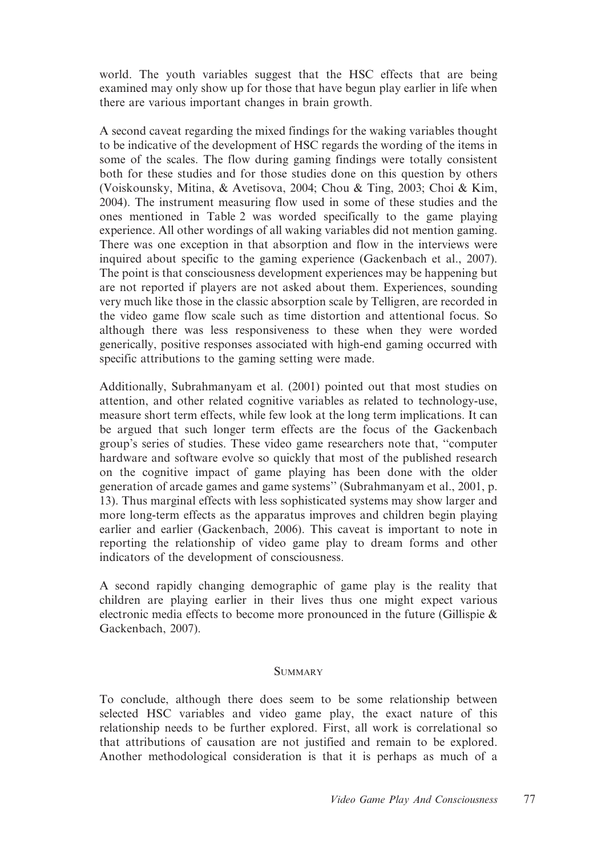world. The youth variables suggest that the HSC effects that are being examined may only show up for those that have begun play earlier in life when there are various important changes in brain growth.

A second caveat regarding the mixed findings for the waking variables thought to be indicative of the development of HSC regards the wording of the items in some of the scales. The flow during gaming findings were totally consistent both for these studies and for those studies done on this question by others (Voiskounsky, Mitina, & Avetisova, 2004; Chou & Ting, 2003; Choi & Kim, 2004). The instrument measuring flow used in some of these studies and the ones mentioned in Table 2 was worded specifically to the game playing experience. All other wordings of all waking variables did not mention gaming. There was one exception in that absorption and flow in the interviews were inquired about specific to the gaming experience (Gackenbach et al., 2007). The point is that consciousness development experiences may be happening but are not reported if players are not asked about them. Experiences, sounding very much like those in the classic absorption scale by Telligren, are recorded in the video game flow scale such as time distortion and attentional focus. So although there was less responsiveness to these when they were worded generically, positive responses associated with high-end gaming occurred with specific attributions to the gaming setting were made.

Additionally, Subrahmanyam et al. (2001) pointed out that most studies on attention, and other related cognitive variables as related to technology-use, measure short term effects, while few look at the long term implications. It can be argued that such longer term effects are the focus of the Gackenbach group's series of studies. These video game researchers note that, ''computer hardware and software evolve so quickly that most of the published research on the cognitive impact of game playing has been done with the older generation of arcade games and game systems'' (Subrahmanyam et al., 2001, p. 13). Thus marginal effects with less sophisticated systems may show larger and more long-term effects as the apparatus improves and children begin playing earlier and earlier (Gackenbach, 2006). This caveat is important to note in reporting the relationship of video game play to dream forms and other indicators of the development of consciousness.

A second rapidly changing demographic of game play is the reality that children are playing earlier in their lives thus one might expect various electronic media effects to become more pronounced in the future (Gillispie & Gackenbach, 2007).

### **SUMMARY**

To conclude, although there does seem to be some relationship between selected HSC variables and video game play, the exact nature of this relationship needs to be further explored. First, all work is correlational so that attributions of causation are not justified and remain to be explored. Another methodological consideration is that it is perhaps as much of a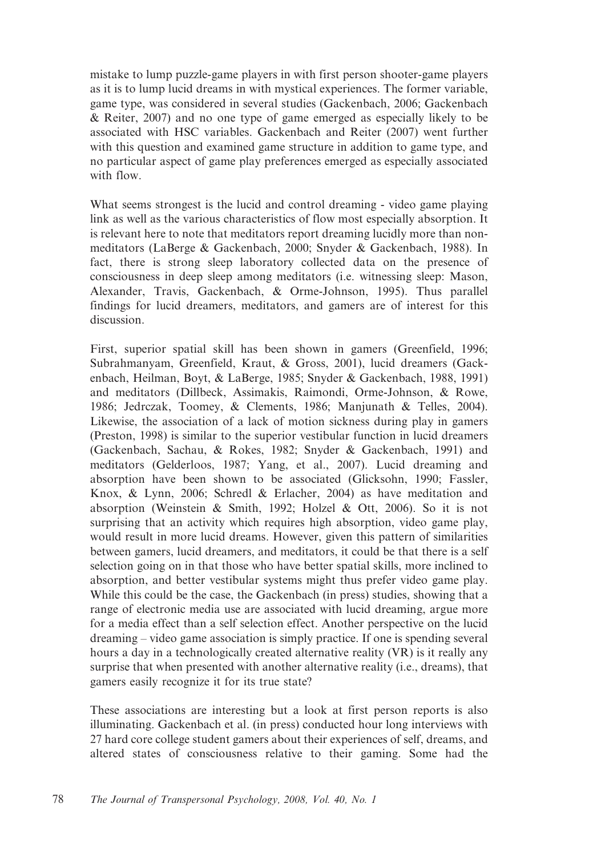mistake to lump puzzle-game players in with first person shooter-game players as it is to lump lucid dreams in with mystical experiences. The former variable, game type, was considered in several studies (Gackenbach, 2006; Gackenbach & Reiter, 2007) and no one type of game emerged as especially likely to be associated with HSC variables. Gackenbach and Reiter (2007) went further with this question and examined game structure in addition to game type, and no particular aspect of game play preferences emerged as especially associated with flow.

What seems strongest is the lucid and control dreaming - video game playing link as well as the various characteristics of flow most especially absorption. It is relevant here to note that meditators report dreaming lucidly more than nonmeditators (LaBerge & Gackenbach, 2000; Snyder & Gackenbach, 1988). In fact, there is strong sleep laboratory collected data on the presence of consciousness in deep sleep among meditators (i.e. witnessing sleep: Mason, Alexander, Travis, Gackenbach, & Orme-Johnson, 1995). Thus parallel findings for lucid dreamers, meditators, and gamers are of interest for this discussion.

First, superior spatial skill has been shown in gamers (Greenfield, 1996; Subrahmanyam, Greenfield, Kraut, & Gross, 2001), lucid dreamers (Gackenbach, Heilman, Boyt, & LaBerge, 1985; Snyder & Gackenbach, 1988, 1991) and meditators (Dillbeck, Assimakis, Raimondi, Orme-Johnson, & Rowe, 1986; Jedrczak, Toomey, & Clements, 1986; Manjunath & Telles, 2004). Likewise, the association of a lack of motion sickness during play in gamers (Preston, 1998) is similar to the superior vestibular function in lucid dreamers (Gackenbach, Sachau, & Rokes, 1982; Snyder & Gackenbach, 1991) and meditators (Gelderloos, 1987; Yang, et al., 2007). Lucid dreaming and absorption have been shown to be associated (Glicksohn, 1990; Fassler, Knox, & Lynn, 2006; Schredl & Erlacher, 2004) as have meditation and absorption (Weinstein & Smith, 1992; Holzel & Ott, 2006). So it is not surprising that an activity which requires high absorption, video game play, would result in more lucid dreams. However, given this pattern of similarities between gamers, lucid dreamers, and meditators, it could be that there is a self selection going on in that those who have better spatial skills, more inclined to absorption, and better vestibular systems might thus prefer video game play. While this could be the case, the Gackenbach (in press) studies, showing that a range of electronic media use are associated with lucid dreaming, argue more for a media effect than a self selection effect. Another perspective on the lucid dreaming – video game association is simply practice. If one is spending several hours a day in a technologically created alternative reality (VR) is it really any surprise that when presented with another alternative reality (i.e., dreams), that gamers easily recognize it for its true state?

These associations are interesting but a look at first person reports is also illuminating. Gackenbach et al. (in press) conducted hour long interviews with 27 hard core college student gamers about their experiences of self, dreams, and altered states of consciousness relative to their gaming. Some had the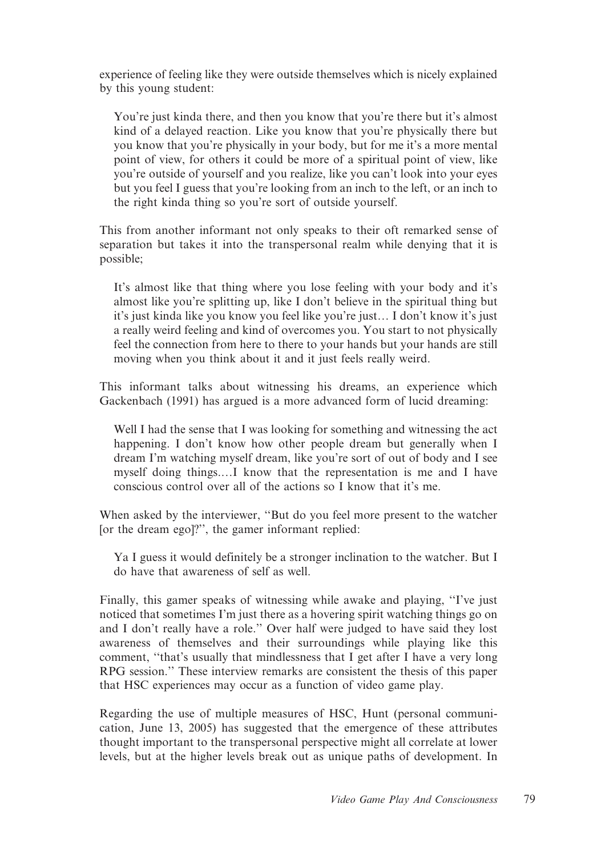experience of feeling like they were outside themselves which is nicely explained by this young student:

You're just kinda there, and then you know that you're there but it's almost kind of a delayed reaction. Like you know that you're physically there but you know that you're physically in your body, but for me it's a more mental point of view, for others it could be more of a spiritual point of view, like you're outside of yourself and you realize, like you can't look into your eyes but you feel I guess that you're looking from an inch to the left, or an inch to the right kinda thing so you're sort of outside yourself.

This from another informant not only speaks to their oft remarked sense of separation but takes it into the transpersonal realm while denying that it is possible;

It's almost like that thing where you lose feeling with your body and it's almost like you're splitting up, like I don't believe in the spiritual thing but it's just kinda like you know you feel like you're just… I don't know it's just a really weird feeling and kind of overcomes you. You start to not physically feel the connection from here to there to your hands but your hands are still moving when you think about it and it just feels really weird.

This informant talks about witnessing his dreams, an experience which Gackenbach (1991) has argued is a more advanced form of lucid dreaming:

Well I had the sense that I was looking for something and witnessing the act happening. I don't know how other people dream but generally when I dream I'm watching myself dream, like you're sort of out of body and I see myself doing things.…I know that the representation is me and I have conscious control over all of the actions so I know that it's me.

When asked by the interviewer, ''But do you feel more present to the watcher [or the dream ego]?'', the gamer informant replied:

Ya I guess it would definitely be a stronger inclination to the watcher. But I do have that awareness of self as well.

Finally, this gamer speaks of witnessing while awake and playing, ''I've just noticed that sometimes I'm just there as a hovering spirit watching things go on and I don't really have a role.'' Over half were judged to have said they lost awareness of themselves and their surroundings while playing like this comment, ''that's usually that mindlessness that I get after I have a very long RPG session.'' These interview remarks are consistent the thesis of this paper that HSC experiences may occur as a function of video game play.

Regarding the use of multiple measures of HSC, Hunt (personal communication, June 13, 2005) has suggested that the emergence of these attributes thought important to the transpersonal perspective might all correlate at lower levels, but at the higher levels break out as unique paths of development. In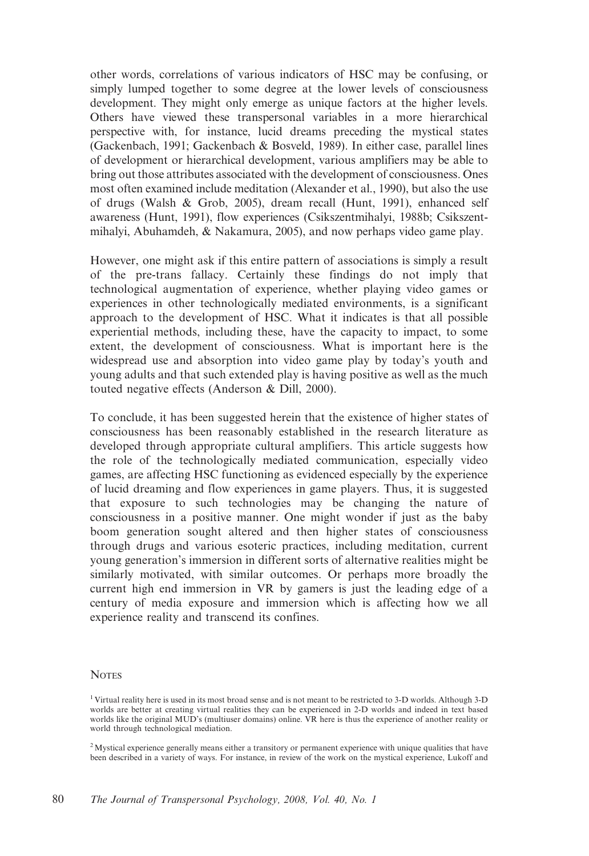other words, correlations of various indicators of HSC may be confusing, or simply lumped together to some degree at the lower levels of consciousness development. They might only emerge as unique factors at the higher levels. Others have viewed these transpersonal variables in a more hierarchical perspective with, for instance, lucid dreams preceding the mystical states (Gackenbach, 1991; Gackenbach & Bosveld, 1989). In either case, parallel lines of development or hierarchical development, various amplifiers may be able to bring out those attributes associated with the development of consciousness. Ones most often examined include meditation (Alexander et al., 1990), but also the use of drugs (Walsh & Grob, 2005), dream recall (Hunt, 1991), enhanced self awareness (Hunt, 1991), flow experiences (Csikszentmihalyi, 1988b; Csikszentmihalyi, Abuhamdeh, & Nakamura, 2005), and now perhaps video game play.

However, one might ask if this entire pattern of associations is simply a result of the pre-trans fallacy. Certainly these findings do not imply that technological augmentation of experience, whether playing video games or experiences in other technologically mediated environments, is a significant approach to the development of HSC. What it indicates is that all possible experiential methods, including these, have the capacity to impact, to some extent, the development of consciousness. What is important here is the widespread use and absorption into video game play by today's youth and young adults and that such extended play is having positive as well as the much touted negative effects (Anderson & Dill, 2000).

To conclude, it has been suggested herein that the existence of higher states of consciousness has been reasonably established in the research literature as developed through appropriate cultural amplifiers. This article suggests how the role of the technologically mediated communication, especially video games, are affecting HSC functioning as evidenced especially by the experience of lucid dreaming and flow experiences in game players. Thus, it is suggested that exposure to such technologies may be changing the nature of consciousness in a positive manner. One might wonder if just as the baby boom generation sought altered and then higher states of consciousness through drugs and various esoteric practices, including meditation, current young generation's immersion in different sorts of alternative realities might be similarly motivated, with similar outcomes. Or perhaps more broadly the current high end immersion in VR by gamers is just the leading edge of a century of media exposure and immersion which is affecting how we all experience reality and transcend its confines.

#### **NOTES**

<sup>2</sup> Mystical experience generally means either a transitory or permanent experience with unique qualities that have been described in a variety of ways. For instance, in review of the work on the mystical experience, Lukoff and

<sup>&</sup>lt;sup>1</sup> Virtual reality here is used in its most broad sense and is not meant to be restricted to 3-D worlds. Although 3-D worlds are better at creating virtual realities they can be experienced in 2-D worlds and indeed in text based worlds like the original MUD's (multiuser domains) online. VR here is thus the experience of another reality or world through technological mediation.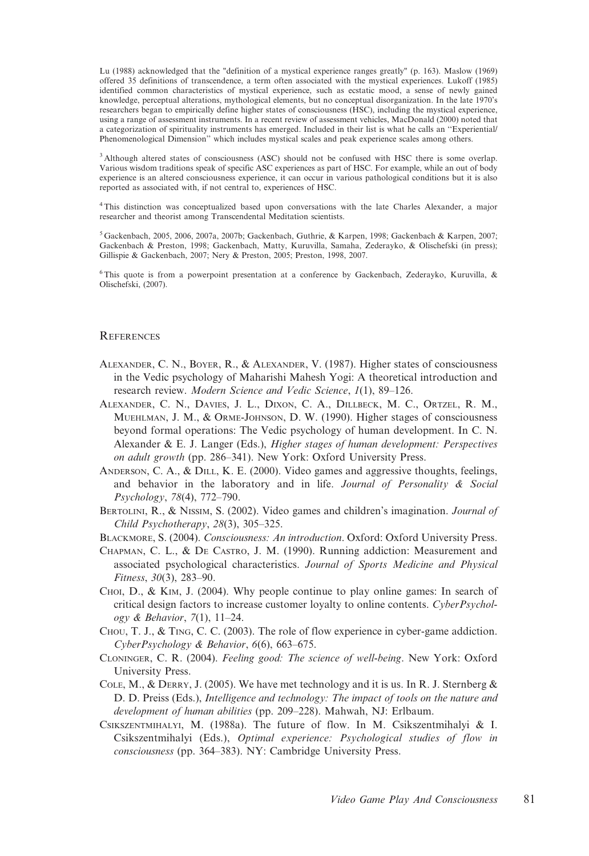Lu (1988) acknowledged that the "definition of a mystical experience ranges greatly" (p. 163). Maslow (1969) offered 35 definitions of transcendence, a term often associated with the mystical experiences. Lukoff (1985) identified common characteristics of mystical experience, such as ecstatic mood, a sense of newly gained knowledge, perceptual alterations, mythological elements, but no conceptual disorganization. In the late 1970's researchers began to empirically define higher states of consciousness (HSC), including the mystical experience, using a range of assessment instruments. In a recent review of assessment vehicles, MacDonald (2000) noted that a categorization of spirituality instruments has emerged. Included in their list is what he calls an ''Experiential/ Phenomenological Dimension'' which includes mystical scales and peak experience scales among others.

<sup>3</sup> Although altered states of consciousness (ASC) should not be confused with HSC there is some overlap. Various wisdom traditions speak of specific ASC experiences as part of HSC. For example, while an out of body experience is an altered consciousness experience, it can occur in various pathological conditions but it is also reported as associated with, if not central to, experiences of HSC.

4This distinction was conceptualized based upon conversations with the late Charles Alexander, a major researcher and theorist among Transcendental Meditation scientists.

 $^5$ Gackenbach, 2005, 2006, 2007a, 2007b; Gackenbach, Guthrie, & Karpen, 1998; Gackenbach & Karpen, 2007; Gackenbach & Preston, 1998; Gackenbach, Matty, Kuruvilla, Samaha, Zederayko, & Olischefski (in press); Gillispie & Gackenbach, 2007; Nery & Preston, 2005; Preston, 1998, 2007.

 $6$ This quote is from a powerpoint presentation at a conference by Gackenbach, Zederayko, Kuruvilla, & Olischefski, (2007).

#### **REFERENCES**

- ALEXANDER, C. N., BOYER, R., & ALEXANDER, V. (1987). Higher states of consciousness in the Vedic psychology of Maharishi Mahesh Yogi: A theoretical introduction and research review. Modern Science and Vedic Science, 1(1), 89–126.
- ALEXANDER, C. N., DAVIES, J. L., DIXON, C. A., DILLBECK, M. C., ORTZEL, R. M., MUEHLMAN, J. M., & ORME-JOHNSON, D. W. (1990). Higher stages of consciousness beyond formal operations: The Vedic psychology of human development. In C. N. Alexander & E. J. Langer (Eds.), Higher stages of human development: Perspectives on adult growth (pp. 286–341). New York: Oxford University Press.
- ANDERSON, C. A., & DILL, K. E. (2000). Video games and aggressive thoughts, feelings, and behavior in the laboratory and in life. Journal of Personality  $\&$  Social Psychology, 78(4), 772–790.
- BERTOLINI, R., & NISSIM, S. (2002). Video games and children's imagination. Journal of Child Psychotherapy, 28(3), 305–325.
- BLACKMORE, S. (2004). Consciousness: An introduction. Oxford: Oxford University Press.
- CHAPMAN, C. L., & DE CASTRO, J. M. (1990). Running addiction: Measurement and associated psychological characteristics. Journal of Sports Medicine and Physical Fitness, 30(3), 283–90.
- CHOI, D., & KIM, J. (2004). Why people continue to play online games: In search of critical design factors to increase customer loyalty to online contents. CyberPsychology & Behavior, 7(1), 11–24.
- CHOU, T. J.,  $\&$  TING, C. C. (2003). The role of flow experience in cyber-game addiction. CyberPsychology & Behavior, 6(6), 663–675.
- CLONINGER, C. R. (2004). Feeling good: The science of well-being. New York: Oxford University Press.
- COLE, M., & DERRY, J. (2005). We have met technology and it is us. In R. J. Sternberg & D. D. Preiss (Eds.), Intelligence and technology: The impact of tools on the nature and development of human abilities (pp. 209–228). Mahwah, NJ: Erlbaum.
- CSIKSZENTMIHALYI, M. (1988a). The future of flow. In M. Csikszentmihalyi & I. Csikszentmihalyi (Eds.), Optimal experience: Psychological studies of flow in consciousness (pp. 364–383). NY: Cambridge University Press.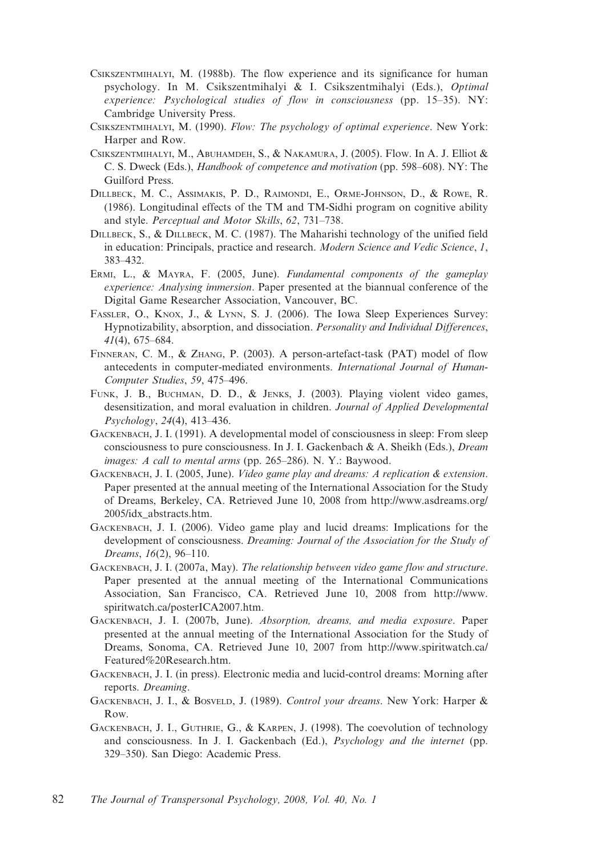- CSIKSZENTMIHALYI, M. (1988b). The flow experience and its significance for human psychology. In M. Csikszentmihalyi & I. Csikszentmihalyi (Eds.), Optimal experience: Psychological studies of flow in consciousness (pp. 15–35). NY: Cambridge University Press.
- CSIKSZENTMIHALYI, M. (1990). Flow: The psychology of optimal experience. New York: Harper and Row.
- CSIKSZENTMIHALYI, M., ABUHAMDEH, S., & NAKAMURA, J. (2005). Flow. In A. J. Elliot & C. S. Dweck (Eds.), Handbook of competence and motivation (pp. 598–608). NY: The Guilford Press.
- DILLBECK, M. C., ASSIMAKIS, P. D., RAIMONDI, E., ORME-JOHNSON, D., & ROWE, R. (1986). Longitudinal effects of the TM and TM-Sidhi program on cognitive ability and style. Perceptual and Motor Skills, 62, 731–738.
- DILLBECK, S., & DILLBECK, M. C. (1987). The Maharishi technology of the unified field in education: Principals, practice and research. Modern Science and Vedic Science, 1, 383–432.
- ERMI, L., & MAYRA, F. (2005, June). Fundamental components of the gameplay experience: Analysing immersion. Paper presented at the biannual conference of the Digital Game Researcher Association, Vancouver, BC.
- FASSLER, O., KNOX, J., & LYNN, S. J. (2006). The Iowa Sleep Experiences Survey: Hypnotizability, absorption, and dissociation. Personality and Individual Differences, 41(4), 675–684.
- FINNERAN, C. M., & ZHANG, P. (2003). A person-artefact-task (PAT) model of flow antecedents in computer-mediated environments. International Journal of Human-Computer Studies, 59, 475–496.
- FUNK, J. B., BUCHMAN, D. D., & JENKS, J. (2003). Playing violent video games, desensitization, and moral evaluation in children. Journal of Applied Developmental Psychology, 24(4), 413–436.
- GACKENBACH, J. I. (1991). A developmental model of consciousness in sleep: From sleep consciousness to pure consciousness. In J. I. Gackenbach & A. Sheikh (Eds.), *Dream* images: A call to mental arms (pp. 265-286). N. Y.: Baywood.
- GACKENBACH, J. I. (2005, June). Video game play and dreams: A replication  $\&$  extension. Paper presented at the annual meeting of the International Association for the Study of Dreams, Berkeley, CA. Retrieved June 10, 2008 from http://www.asdreams.org/ 2005/idx\_abstracts.htm.
- GACKENBACH, J. I. (2006). Video game play and lucid dreams: Implications for the development of consciousness. Dreaming: Journal of the Association for the Study of Dreams, 16(2), 96–110.
- GACKENBACH, J. I. (2007a, May). The relationship between video game flow and structure. Paper presented at the annual meeting of the International Communications Association, San Francisco, CA. Retrieved June 10, 2008 from http://www. spiritwatch.ca/posterICA2007.htm.
- GACKENBACH, J. I. (2007b, June). Absorption, dreams, and media exposure. Paper presented at the annual meeting of the International Association for the Study of Dreams, Sonoma, CA. Retrieved June 10, 2007 from http://www.spiritwatch.ca/ Featured%20Research.htm.
- GACKENBACH, J. I. (in press). Electronic media and lucid-control dreams: Morning after reports. Dreaming.
- GACKENBACH, J. I., & BOSVELD, J. (1989). Control your dreams. New York: Harper & Row.
- GACKENBACH, J. I., GUTHRIE, G., & KARPEN, J. (1998). The coevolution of technology and consciousness. In J. I. Gackenbach (Ed.), Psychology and the internet (pp. 329–350). San Diego: Academic Press.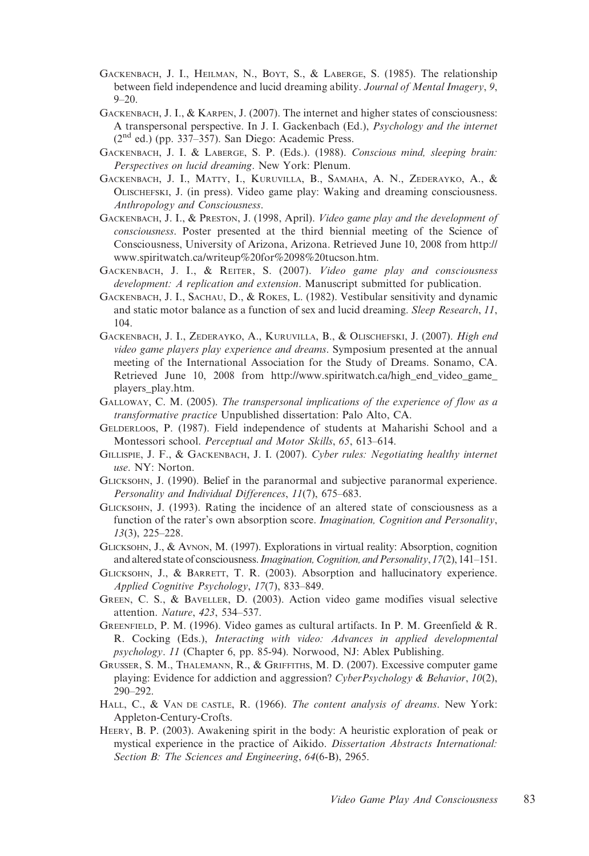- GACKENBACH, J. I., HEILMAN, N., BOYT, S., & LABERGE, S. (1985). The relationship between field independence and lucid dreaming ability. Journal of Mental Imagery, 9, 9–20.
- GACKENBACH, J. I., & KARPEN, J. (2007). The internet and higher states of consciousness: A transpersonal perspective. In J. I. Gackenbach (Ed.), Psychology and the internet  $(2^{nd}$  ed.) (pp. 337–357). San Diego: Academic Press.
- GACKENBACH, J. I. & LABERGE, S. P. (Eds.). (1988). Conscious mind, sleeping brain: Perspectives on lucid dreaming. New York: Plenum.
- GACKENBACH, J. I., MATTY, I., KURUVILLA, B., SAMAHA, A. N., ZEDERAYKO, A., & OLISCHEFSKI, J. (in press). Video game play: Waking and dreaming consciousness. Anthropology and Consciousness.
- GACKENBACH, J. I., & PRESTON, J. (1998, April). Video game play and the development of consciousness. Poster presented at the third biennial meeting of the Science of Consciousness, University of Arizona, Arizona. Retrieved June 10, 2008 from http:// www.spiritwatch.ca/writeup%20for%2098%20tucson.htm.
- GACKENBACH, J. I., & REITER, S. (2007). Video game play and consciousness development: A replication and extension. Manuscript submitted for publication.
- GACKENBACH, J. I., SACHAU, D., & ROKES, L. (1982). Vestibular sensitivity and dynamic and static motor balance as a function of sex and lucid dreaming. Sleep Research, 11, 104.
- GACKENBACH, J. I., ZEDERAYKO, A., KURUVILLA, B., & OLISCHEFSKI, J. (2007). *High end* video game players play experience and dreams. Symposium presented at the annual meeting of the International Association for the Study of Dreams. Sonamo, CA. Retrieved June 10, 2008 from http://www.spiritwatch.ca/high\_end\_video\_game\_ players\_play.htm.
- GALLOWAY, C. M. (2005). The transpersonal implications of the experience of flow as a transformative practice Unpublished dissertation: Palo Alto, CA.
- GELDERLOOS, P. (1987). Field independence of students at Maharishi School and a Montessori school. Perceptual and Motor Skills, 65, 613–614.
- GILLISPIE, J. F., & GACKENBACH, J. I. (2007). Cyber rules: Negotiating healthy internet use. NY: Norton.
- GLICKSOHN, J. (1990). Belief in the paranormal and subjective paranormal experience. Personality and Individual Differences, 11(7), 675–683.
- GLICKSOHN, J. (1993). Rating the incidence of an altered state of consciousness as a function of the rater's own absorption score. *Imagination, Cognition and Personality*, 13(3), 225–228.
- GLICKSOHN, J., & AVNON, M. (1997). Explorations in virtual reality: Absorption, cognition and altered state of consciousness. Imagination, Cognition, and Personality, 17(2), 141-151.
- GLICKSOHN, J., & BARRETT, T. R. (2003). Absorption and hallucinatory experience. Applied Cognitive Psychology, 17(7), 833–849.
- GREEN, C. S., & BAVELLER, D. (2003). Action video game modifies visual selective attention. Nature, 423, 534–537.
- GREENFIELD, P. M. (1996). Video games as cultural artifacts. In P. M. Greenfield & R. R. Cocking (Eds.), Interacting with video: Advances in applied developmental psychology. 11 (Chapter 6, pp. 85-94). Norwood, NJ: Ablex Publishing.
- GRUSSER, S. M., THALEMANN, R., & GRIFFITHS, M. D. (2007). Excessive computer game playing: Evidence for addiction and aggression? CyberPsychology & Behavior, 10(2), 290–292.
- HALL, C., & VAN DE CASTLE, R. (1966). The content analysis of dreams. New York: Appleton-Century-Crofts.
- HEERY, B. P. (2003). Awakening spirit in the body: A heuristic exploration of peak or mystical experience in the practice of Aikido. Dissertation Abstracts International: Section B: The Sciences and Engineering, 64(6-B), 2965.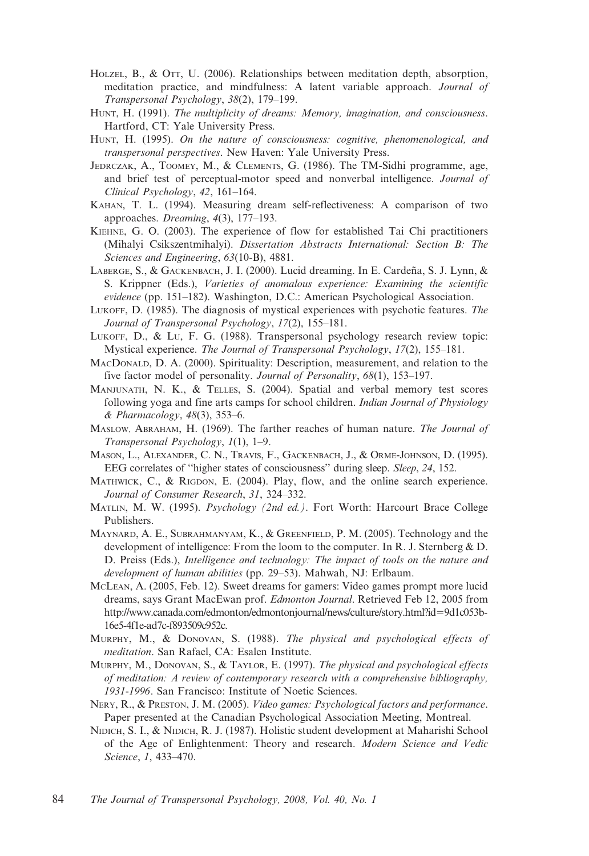- HOLZEL, B., & OTT, U. (2006). Relationships between meditation depth, absorption, meditation practice, and mindfulness: A latent variable approach. Journal of Transpersonal Psychology, 38(2), 179–199.
- HUNT, H. (1991). The multiplicity of dreams: Memory, imagination, and consciousness. Hartford, CT: Yale University Press.
- HUNT, H. (1995). On the nature of consciousness: cognitive, phenomenological, and transpersonal perspectives. New Haven: Yale University Press.
- JEDRCZAK, A., TOOMEY, M., & CLEMENTS, G. (1986). The TM-Sidhi programme, age, and brief test of perceptual-motor speed and nonverbal intelligence. Journal of Clinical Psychology, 42, 161–164.
- KAHAN, T. L. (1994). Measuring dream self-reflectiveness: A comparison of two approaches. Dreaming, 4(3), 177–193.
- KIEHNE, G. O. (2003). The experience of flow for established Tai Chi practitioners (Mihalyi Csikszentmihalyi). Dissertation Abstracts International: Section B: The Sciences and Engineering, 63(10-B), 4881.
- LABERGE, S., & GACKENBACH, J. I. (2000). Lucid dreaming. In E. Cardeña, S. J. Lynn, & S. Krippner (Eds.), Varieties of anomalous experience: Examining the scientific evidence (pp. 151–182). Washington, D.C.: American Psychological Association.
- LUKOFF, D. (1985). The diagnosis of mystical experiences with psychotic features. The Journal of Transpersonal Psychology, 17(2), 155–181.
- LUKOFF, D., & LU, F. G. (1988). Transpersonal psychology research review topic: Mystical experience. The Journal of Transpersonal Psychology, 17(2), 155–181.
- MACDONALD, D. A. (2000). Spirituality: Description, measurement, and relation to the five factor model of personality. Journal of Personality, 68(1), 153-197.
- MANJUNATH, N. K., & TELLES, S. (2004). Spatial and verbal memory test scores following yoga and fine arts camps for school children. Indian Journal of Physiology & Pharmacology, 48(3), 353–6.
- MASLOW, ABRAHAM, H. (1969). The farther reaches of human nature. The Journal of Transpersonal Psychology, 1(1), 1–9.
- MASON, L., ALEXANDER, C. N., TRAVIS, F., GACKENBACH, J., & ORME-JOHNSON, D. (1995). EEG correlates of ''higher states of consciousness'' during sleep. Sleep, 24, 152.
- MATHWICK, C., & RIGDON, E. (2004). Play, flow, and the online search experience. Journal of Consumer Research, 31, 324–332.
- MATLIN, M. W. (1995). Psychology (2nd ed.). Fort Worth: Harcourt Brace College Publishers.
- MAYNARD, A. E., SUBRAHMANYAM, K., & GREENFIELD, P. M. (2005). Technology and the development of intelligence: From the loom to the computer. In R. J. Sternberg & D. D. Preiss (Eds.), Intelligence and technology: The impact of tools on the nature and development of human abilities (pp. 29–53). Mahwah, NJ: Erlbaum.
- MCLEAN, A. (2005, Feb. 12). Sweet dreams for gamers: Video games prompt more lucid dreams, says Grant MacEwan prof. Edmonton Journal. Retrieved Feb 12, 2005 from http://www.canada.com/edmonton/edmontonjournal/news/culture/story.html?id=9d1c053b-16e5-4f1e-ad7c-f893509c952c.
- MURPHY, M., & DONOVAN, S. (1988). The physical and psychological effects of meditation. San Rafael, CA: Esalen Institute.
- MURPHY, M., DONOVAN, S., & TAYLOR, E. (1997). The physical and psychological effects of meditation: A review of contemporary research with a comprehensive bibliography, 1931-1996. San Francisco: Institute of Noetic Sciences.
- NERY, R., & PRESTON, J. M. (2005). Video games: Psychological factors and performance. Paper presented at the Canadian Psychological Association Meeting, Montreal.
- NIDICH, S. I., & NIDICH, R. J. (1987). Holistic student development at Maharishi School of the Age of Enlightenment: Theory and research. Modern Science and Vedic Science, 1, 433–470.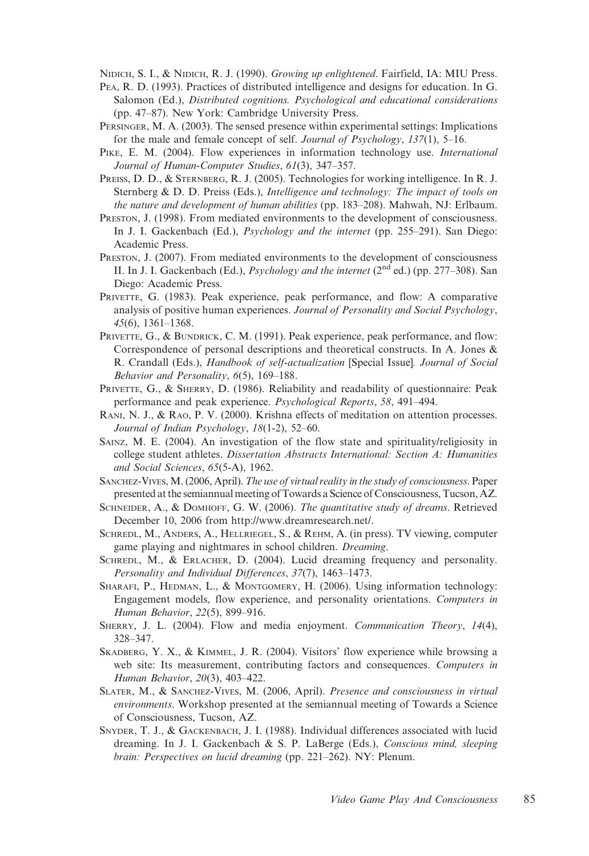NIDICH, S. I., & NIDICH, R. J. (1990). Growing up enlightened. Fairfield, IA: MIU Press.

- PEA, R. D. (1993). Practices of distributed intelligence and designs for education. In G. Salomon (Ed.), Distributed cognitions. Psychological and educational considerations (pp. 47–87). New York: Cambridge University Press.
- PERSINGER, M. A. (2003). The sensed presence within experimental settings: Implications for the male and female concept of self. Journal of Psychology, 137(1), 5–16.
- PIKE, E. M. (2004). Flow experiences in information technology use. *International* Journal of Human-Computer Studies, 61(3), 347–357.
- PREISS, D. D., & STERNBERG, R. J. (2005). Technologies for working intelligence. In R. J. Sternberg & D. D. Preiss (Eds.), *Intelligence and technology: The impact of tools on* the nature and development of human abilities (pp. 183–208). Mahwah, NJ: Erlbaum.
- PRESTON, J. (1998). From mediated environments to the development of consciousness. In J. I. Gackenbach (Ed.), *Psychology and the internet* (pp. 255–291). San Diego: Academic Press.
- PRESTON, J. (2007). From mediated environments to the development of consciousness II. In J. I. Gackenbach (Ed.), *Psychology and the internet* ( $2<sup>nd</sup>$  ed.) (pp. 277–308). San Diego: Academic Press.
- PRIVETTE, G. (1983). Peak experience, peak performance, and flow: A comparative analysis of positive human experiences. Journal of Personality and Social Psychology, 45(6), 1361–1368.
- PRIVETTE, G., & BUNDRICK, C. M. (1991). Peak experience, peak performance, and flow: Correspondence of personal descriptions and theoretical constructs. In A. Jones & R. Crandall (Eds.), Handbook of self-actualization [Special Issue]. Journal of Social Behavior and Personality, 6(5), 169–188.
- PRIVETTE, G., & SHERRY, D. (1986). Reliability and readability of questionnaire: Peak performance and peak experience. Psychological Reports, 58, 491–494.
- RANI, N. J., & RAO, P. V. (2000). Krishna effects of meditation on attention processes. Journal of Indian Psychology, 18(1-2), 52–60.
- SAINZ, M. E. (2004). An investigation of the flow state and spirituality/religiosity in college student athletes. Dissertation Abstracts International: Section A: Humanities and Social Sciences, 65(5-A), 1962.
- SANCHEZ-VIVES, M. (2006, April). The use of virtual reality in the study of consciousness. Paper presented at the semiannual meeting of Towards a Science of Consciousness, Tucson, AZ.
- SCHNEIDER, A., & DOMHOFF, G. W. (2006). The quantitative study of dreams. Retrieved December 10, 2006 from http://www.dreamresearch.net/.
- SCHREDL, M., ANDERS, A., HELLRIEGEL, S., & REHM, A. (in press). TV viewing, computer game playing and nightmares in school children. Dreaming.
- SCHREDL, M., & ERLACHER, D. (2004). Lucid dreaming frequency and personality. Personality and Individual Differences, 37(7), 1463–1473.
- SHARAFI, P., HEDMAN, L., & MONTGOMERY, H. (2006). Using information technology: Engagement models, flow experience, and personality orientations. Computers in Human Behavior, 22(5), 899–916.
- SHERRY, J. L. (2004). Flow and media enjoyment. Communication Theory, 14(4), 328–347.
- SKADBERG, Y. X., & KIMMEL, J. R. (2004). Visitors' flow experience while browsing a web site: Its measurement, contributing factors and consequences. Computers in Human Behavior, 20(3), 403–422.
- SLATER, M., & SANCHEZ-VIVES, M. (2006, April). Presence and consciousness in virtual environments. Workshop presented at the semiannual meeting of Towards a Science of Consciousness, Tucson, AZ.
- SNYDER, T. J., & GACKENBACH, J. I. (1988). Individual differences associated with lucid dreaming. In J. I. Gackenbach & S. P. LaBerge (Eds.), Conscious mind, sleeping brain: Perspectives on lucid dreaming (pp. 221–262). NY: Plenum.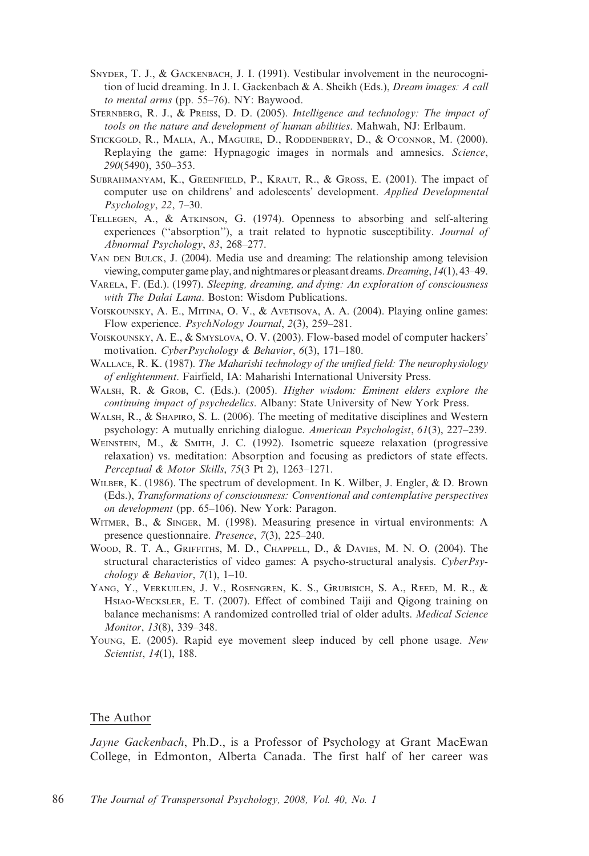- SNYDER, T. J., & GACKENBACH, J. I. (1991). Vestibular involvement in the neurocognition of lucid dreaming. In J. I. Gackenbach & A. Sheikh (Eds.), Dream images: A call to mental arms (pp. 55–76). NY: Baywood.
- STERNBERG, R. J., & PREISS, D. D. (2005). Intelligence and technology: The impact of tools on the nature and development of human abilities. Mahwah, NJ: Erlbaum.
- STICKGOLD, R., MALIA, A., MAGUIRE, D., RODDENBERRY, D., & O'CONNOR, M. (2000). Replaying the game: Hypnagogic images in normals and amnesics. Science, 290(5490), 350–353.
- SUBRAHMANYAM, K., GREENFIELD, P., KRAUT, R., & GROSS, E. (2001). The impact of computer use on childrens' and adolescents' development. Applied Developmental Psychology, 22, 7–30.
- TELLEGEN, A., & ATKINSON, G. (1974). Openness to absorbing and self-altering experiences ("absorption"), a trait related to hypnotic susceptibility. Journal of Abnormal Psychology, 83, 268–277.
- VAN DEN BULCK, J. (2004). Media use and dreaming: The relationship among television viewing, computer game play, and nightmares or pleasant dreams.Dreaming, 14(1), 43–49.
- VARELA, F. (Ed.). (1997). Sleeping, dreaming, and dying: An exploration of consciousness with The Dalai Lama. Boston: Wisdom Publications.
- VOISKOUNSKY, A. E., MITINA, O. V., & AVETISOVA, A. A. (2004). Playing online games: Flow experience. PsychNology Journal, 2(3), 259–281.
- VOISKOUNSKY, A. E., & SMYSLOVA, O. V. (2003). Flow-based model of computer hackers' motivation. CyberPsychology & Behavior, 6(3), 171–180.
- WALLACE, R. K. (1987). The Maharishi technology of the unified field: The neurophysiology of enlightenment. Fairfield, IA: Maharishi International University Press.
- WALSH, R. & GROB, C. (Eds.). (2005). Higher wisdom: Eminent elders explore the continuing impact of psychedelics. Albany: State University of New York Press.
- WALSH, R., & SHAPIRO, S. L. (2006). The meeting of meditative disciplines and Western psychology: A mutually enriching dialogue. American Psychologist, 61(3), 227–239.
- WEINSTEIN, M., & SMITH, J. C. (1992). Isometric squeeze relaxation (progressive relaxation) vs. meditation: Absorption and focusing as predictors of state effects. Perceptual & Motor Skills, 75(3 Pt 2), 1263–1271.
- WILBER, K. (1986). The spectrum of development. In K. Wilber, J. Engler, & D. Brown (Eds.), Transformations of consciousness: Conventional and contemplative perspectives on development (pp. 65–106). New York: Paragon.
- WITMER, B., & SINGER, M. (1998). Measuring presence in virtual environments: A presence questionnaire. Presence, 7(3), 225–240.
- WOOD, R. T. A., GRIFFITHS, M. D., CHAPPELL, D., & DAVIES, M. N. O. (2004). The structural characteristics of video games: A psycho-structural analysis. CyberPsychology  $\&$  Behavior, 7(1), 1–10.
- YANG, Y., VERKUILEN, J. V., ROSENGREN, K. S., GRUBISICH, S. A., REED, M. R., & HSIAO-WECKSLER, E. T. (2007). Effect of combined Taiji and Qigong training on balance mechanisms: A randomized controlled trial of older adults. Medical Science Monitor, 13(8), 339–348.
- YOUNG, E. (2005). Rapid eye movement sleep induced by cell phone usage. New Scientist, 14(1), 188.

#### The Author

Jayne Gackenbach, Ph.D., is a Professor of Psychology at Grant MacEwan College, in Edmonton, Alberta Canada. The first half of her career was